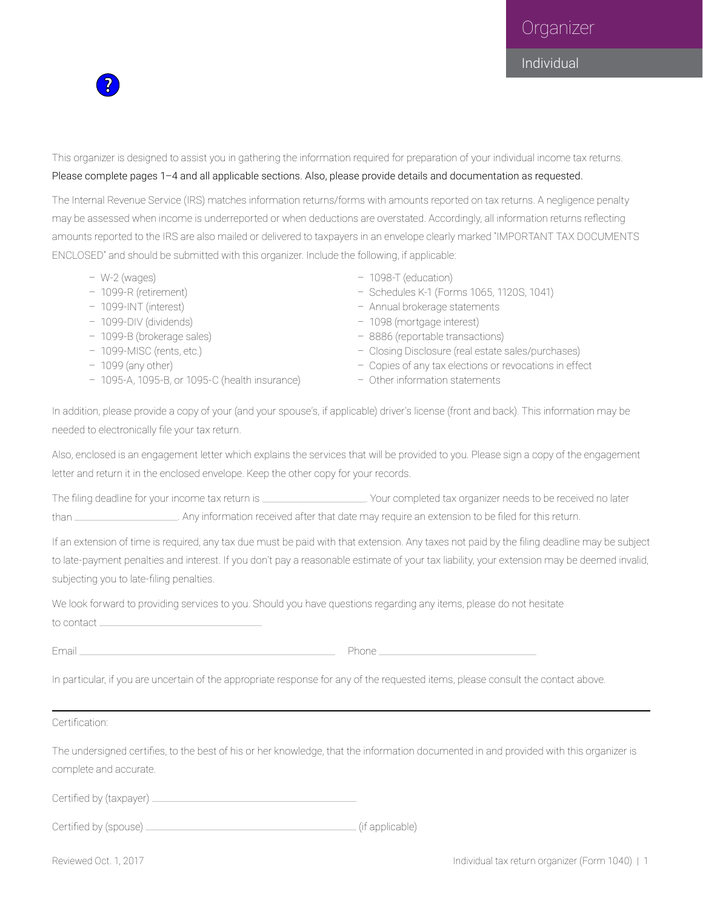Organizer



Individual

This organizer is designed to assist you in gathering the information required for preparation of your individual income tax returns. Please complete pages 1–4 and all applicable sections. Also, please provide details and documentation as requested.

The Internal Revenue Service (IRS) matches information returns/forms with amounts reported on tax returns. A negligence penalty may be assessed when income is underreported or when deductions are overstated. Accordingly, all information returns reflecting amounts reported to the IRS are also mailed or delivered to taxpayers in an envelope clearly marked "IMPORTANT TAX DOCUMENTS ENCLOSED" and should be submitted with this organizer. Include the following, if applicable:

- 
- 
- 
- 
- 
- 
- 
- 1095-A, 1095-B, or 1095-C (health insurance) Other information statements
- W-2 (wages) 1098-T (education)
- 1099-R (retirement) Schedules K-1 (Forms 1065, 1120S, 1041)
- 1099-INT (interest) Annual brokerage statements
- 1099-DIV (dividends) 1098 (mortgage interest)
- 1099-B (brokerage sales) 8886 (reportable transactions)
- 1099-MISC (rents, etc.) Closing Disclosure (real estate sales/purchases)
- 1099 (any other) Copies of any tax elections or revocations in effect
	-

In addition, please provide a copy of your (and your spouse's, if applicable) driver's license (front and back). This information may be needed to electronically file your tax return.

Also, enclosed is an engagement letter which explains the services that will be provided to you. Please sign a copy of the engagement letter and return it in the enclosed envelope. Keep the other copy for your records.

The filing deadline for your income tax return is . Your completed tax organizer needs to be received no later than \_\_\_\_\_\_\_\_\_\_\_\_\_\_\_\_\_\_\_\_\_\_. Any information received after that date may require an extension to be filed for this return.

If an extension of time is required, any tax due must be paid with that extension. Any taxes not paid by the filing deadline may be subject to late-payment penalties and interest. If you don't pay a reasonable estimate of your tax liability, your extension may be deemed invalid, subjecting you to late-filing penalties.

We look forward to providing services to you. Should you have questions regarding any items, please do not hesitate to contact .

Email Phone Phone Phone Phone Phone Phone Phone Phone Phone Phone Phone Phone Phone Phone Phone Phone Phone Phone Phone Phone Phone Phone Phone Phone Phone Phone Phone Phone Phone Phone Phone Phone Phone Phone Phone Phone

In particular, if you are uncertain of the appropriate response for any of the requested items, please consult the contact above.

Certification:

The undersigned certifies, to the best of his or her knowledge, that the information documented in and provided with this organizer is complete and accurate.

Certified by (taxpayer)

Certified by (spouse) (if applicable)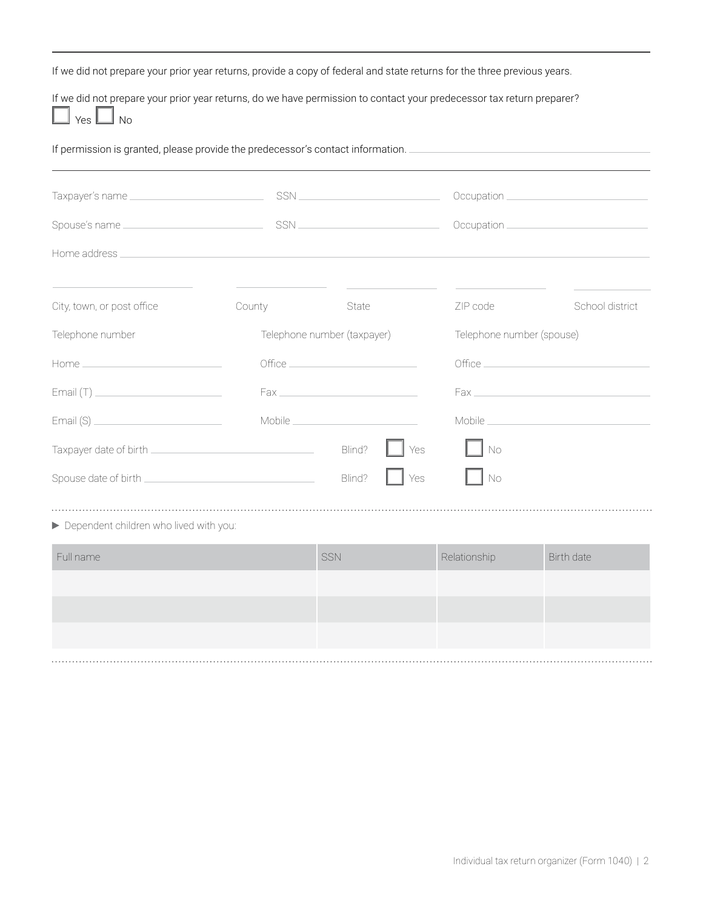If we did not prepare your prior year returns, provide a copy of federal and state returns for the three previous years.

If we did not prepare your prior year returns, do we have permission to contact your predecessor tax return preparer?  $Yes$   $\Box$  No

If permission is granted, please provide the predecessor's contact information.

|                            |        |                                          |                           | Occupation __________________________________ |  |
|----------------------------|--------|------------------------------------------|---------------------------|-----------------------------------------------|--|
|                            |        |                                          |                           |                                               |  |
|                            |        |                                          |                           |                                               |  |
| City, town, or post office | County | State                                    | ZIP code                  | School district                               |  |
| Telephone number           |        | Telephone number (taxpayer)              | Telephone number (spouse) |                                               |  |
|                            |        | $\text{Office} \underline{\hspace{2cm}}$ |                           |                                               |  |
|                            |        |                                          |                           |                                               |  |
|                            |        |                                          |                           |                                               |  |
|                            |        | Blind?<br>Yes                            | <b>No</b>                 |                                               |  |
|                            |        | Blind?<br>Yes                            | No                        |                                               |  |

Dependent children who lived with you:

| Full name | SSN | Relationship | Birth date |
|-----------|-----|--------------|------------|
|           |     |              |            |
|           |     |              |            |
|           |     |              |            |
|           |     |              |            |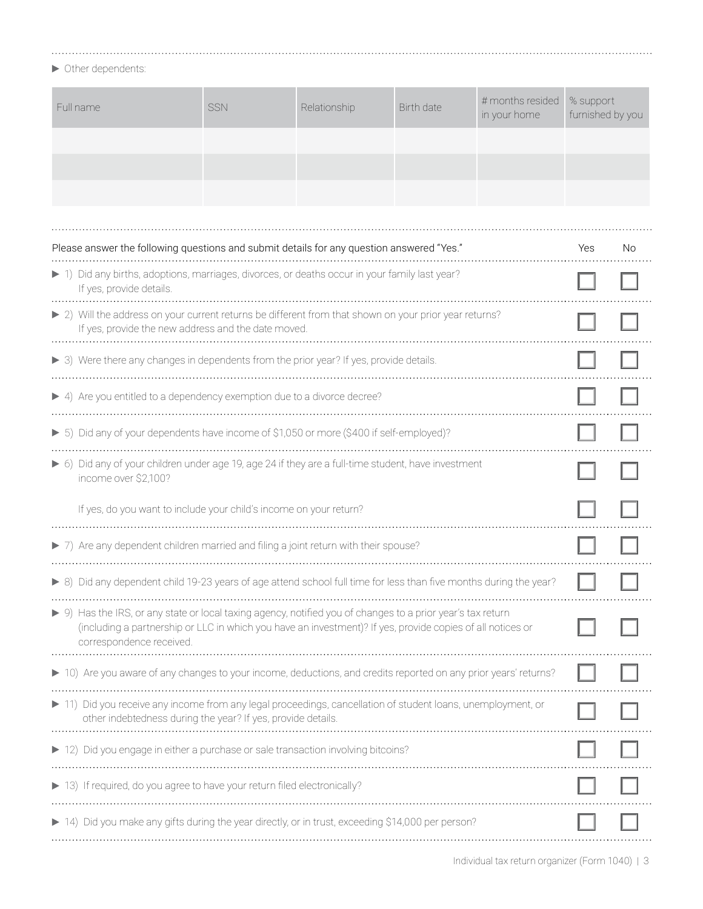$\blacktriangleright$  Other dependents:

| Full name                                                                                                                                                                                                                                             | <b>SSN</b> | Relationship | Birth date | # months resided<br>in your home | % support<br>furnished by you |    |
|-------------------------------------------------------------------------------------------------------------------------------------------------------------------------------------------------------------------------------------------------------|------------|--------------|------------|----------------------------------|-------------------------------|----|
|                                                                                                                                                                                                                                                       |            |              |            |                                  |                               |    |
|                                                                                                                                                                                                                                                       |            |              |            |                                  |                               |    |
|                                                                                                                                                                                                                                                       |            |              |            |                                  |                               |    |
| Please answer the following questions and submit details for any question answered "Yes."                                                                                                                                                             |            |              |            |                                  | Yes                           | No |
| 1) Did any births, adoptions, marriages, divorces, or deaths occur in your family last year?<br>If yes, provide details.                                                                                                                              |            |              |            |                                  |                               |    |
| ▶ 2) Will the address on your current returns be different from that shown on your prior year returns?<br>If yes, provide the new address and the date moved.                                                                                         |            |              |            |                                  |                               |    |
| > 3) Were there any changes in dependents from the prior year? If yes, provide details.                                                                                                                                                               |            |              |            |                                  |                               |    |
| $\blacktriangleright$ 4) Are you entitled to a dependency exemption due to a divorce decree?                                                                                                                                                          |            |              |            |                                  |                               |    |
| > 5) Did any of your dependents have income of \$1,050 or more (\$400 if self-employed)?                                                                                                                                                              |            |              |            |                                  |                               |    |
| > 6) Did any of your children under age 19, age 24 if they are a full-time student, have investment<br>income over \$2,100?                                                                                                                           |            |              |            |                                  |                               |    |
| If yes, do you want to include your child's income on your return?                                                                                                                                                                                    |            |              |            |                                  |                               |    |
| > 7) Are any dependent children married and filing a joint return with their spouse?                                                                                                                                                                  |            |              |            |                                  |                               |    |
| ▶ 8) Did any dependent child 19-23 years of age attend school full time for less than five months during the year?                                                                                                                                    |            |              |            |                                  |                               |    |
| ▶ 9) Has the IRS, or any state or local taxing agency, notified you of changes to a prior year's tax return<br>(including a partnership or LLC in which you have an investment)? If yes, provide copies of all notices or<br>correspondence received. |            |              |            |                                  |                               |    |
| ▶ 10) Are you aware of any changes to your income, deductions, and credits reported on any prior years' returns?                                                                                                                                      |            |              |            |                                  |                               |    |
| 11) Did you receive any income from any legal proceedings, cancellation of student loans, unemployment, or<br>other indebtedness during the year? If yes, provide details.                                                                            |            |              |            |                                  |                               |    |
| 12) Did you engage in either a purchase or sale transaction involving bitcoins?                                                                                                                                                                       |            |              |            |                                  |                               |    |
| 13) If required, do you agree to have your return filed electronically?                                                                                                                                                                               |            |              |            |                                  |                               |    |
| 14) Did you make any gifts during the year directly, or in trust, exceeding \$14,000 per person?                                                                                                                                                      |            |              |            |                                  |                               |    |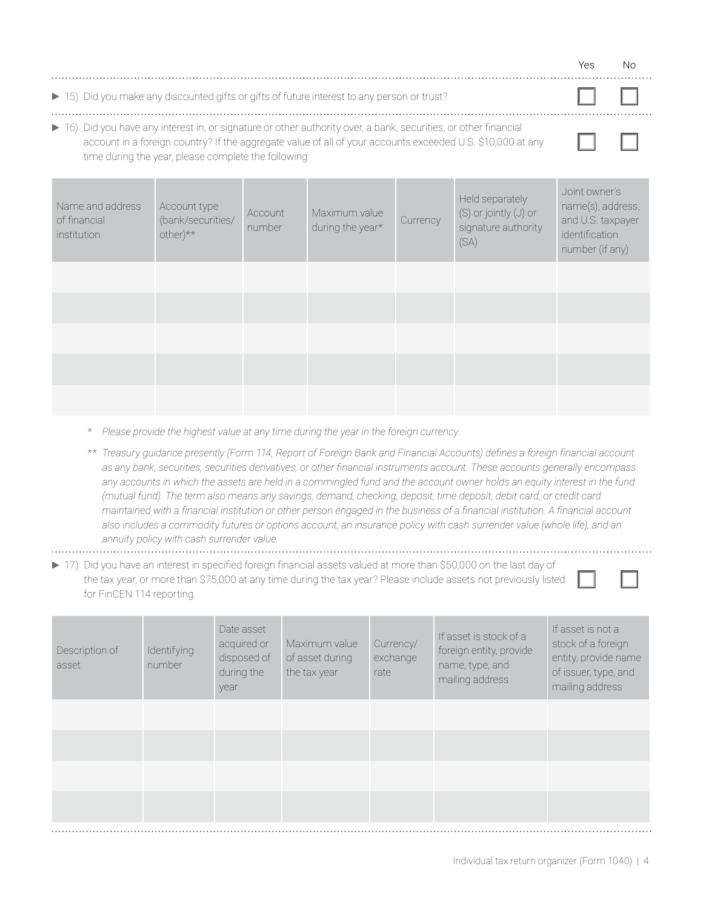|                                                                                                                                                                                                                                                                                        |                                                            |                   |                                   |          |                                                                             | Yes                                                                                           | Nο |
|----------------------------------------------------------------------------------------------------------------------------------------------------------------------------------------------------------------------------------------------------------------------------------------|------------------------------------------------------------|-------------------|-----------------------------------|----------|-----------------------------------------------------------------------------|-----------------------------------------------------------------------------------------------|----|
| ▶ 15) Did you make any discounted gifts or gifts of future interest to any person or trust?                                                                                                                                                                                            |                                                            |                   |                                   |          |                                                                             |                                                                                               |    |
| ▶ 16) Did you have any interest in, or signature or other authority over, a bank, securities, or other financial<br>account in a foreign country? If the aggregate value of all of your accounts exceeded U.S. \$10,000 at any<br>time during the year, please complete the following: |                                                            |                   |                                   |          |                                                                             |                                                                                               |    |
| Name and address<br>of financial<br>institution                                                                                                                                                                                                                                        | Account type<br>(bank/securities/<br>$other$ <sup>**</sup> | Account<br>number | Maximum value<br>during the year* | Currency | Held separately<br>$(S)$ or jointly $(J)$ or<br>signature authority<br>(SA) | Joint owner's<br>name(s), address,<br>and U.S. taxpayer<br>identification<br>number (if any). |    |
|                                                                                                                                                                                                                                                                                        |                                                            |                   |                                   |          |                                                                             |                                                                                               |    |

- \* *Please provide the highest value at any time during the year in the foreign currency*.
- \*\* *Treasury guidance presently (Form 114, Report of Foreign Bank and Financial Accounts) defines a foreign financial account as any bank, securities, securities derivatives, or other financial instruments account. These accounts generally encompass any accounts in which the assets are held in a commingled fund and the account owner holds an equity interest in the fund (mutual fund). The term also means any savings, demand, checking, deposit, time deposit, debit card, or credit card maintained with a financial institution or other person engaged in the business of a financial institution. A financial account also includes a commodity futures or options account, an insurance policy with cash surrender value (whole life), and an annuity policy with cash surrender value.*
- 
- 17) Did you have an interest in specified foreign financial assets valued at more than \$50,000 on the last day of the tax year, or more than \$75,000 at any time during the tax year? Please include assets not previously listed for FinCEN 114 reporting.

| Description of<br>asset | Identifying<br>number | Date asset<br>acquired or<br>disposed of<br>during the<br>year | Maximum value<br>of asset during<br>the tax year | Currency/<br>exchange<br>rate | If asset is stock of a<br>foreign entity, provide<br>name, type, and<br>mailing address | If asset is not a<br>stock of a foreign<br>entity, provide name<br>of issuer, type, and<br>mailing address |
|-------------------------|-----------------------|----------------------------------------------------------------|--------------------------------------------------|-------------------------------|-----------------------------------------------------------------------------------------|------------------------------------------------------------------------------------------------------------|
|                         |                       |                                                                |                                                  |                               |                                                                                         |                                                                                                            |
|                         |                       |                                                                |                                                  |                               |                                                                                         |                                                                                                            |
|                         |                       |                                                                |                                                  |                               |                                                                                         |                                                                                                            |
|                         |                       |                                                                |                                                  |                               |                                                                                         |                                                                                                            |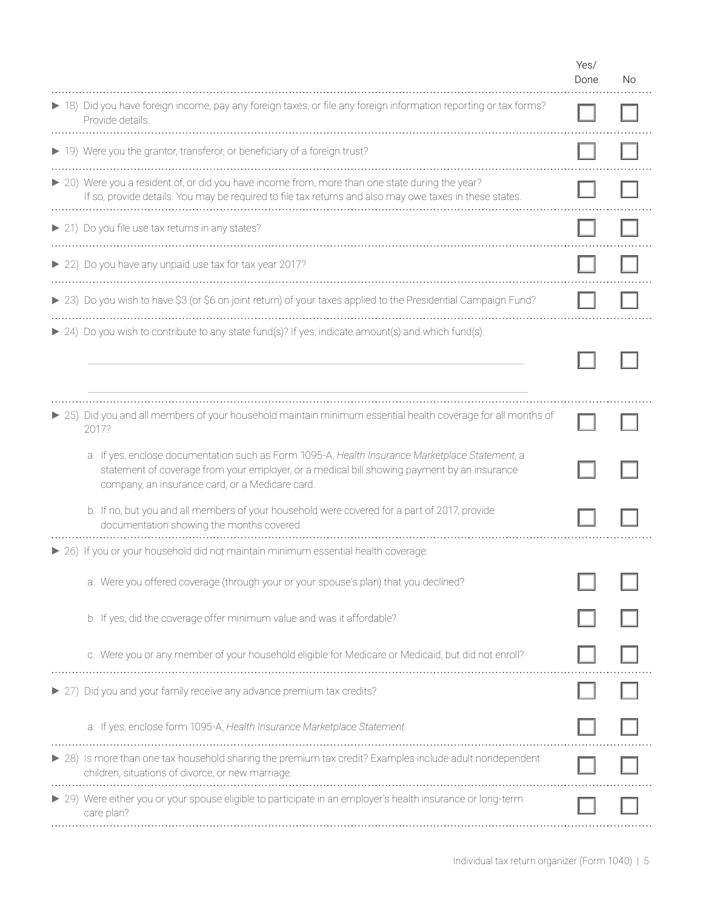|                                                                                                                                                                                                                                                   | Yes/<br>Done | No. |
|---------------------------------------------------------------------------------------------------------------------------------------------------------------------------------------------------------------------------------------------------|--------------|-----|
| > 18) Did you have foreign income, pay any foreign taxes, or file any foreign information reporting or tax forms?<br>Provide details.                                                                                                             |              |     |
| ▶ 19) Were you the grantor, transferor, or beneficiary of a foreign trust?                                                                                                                                                                        |              |     |
| > 20) Were you a resident of, or did you have income from, more than one state during the year?<br>If so, provide details. You may be required to file tax returns and also may owe taxes in these states.                                        |              |     |
| ▶ 21) Do you file use tax returns in any states?                                                                                                                                                                                                  |              |     |
| ▶ 22) Do you have any unpaid use tax for tax year 2017?                                                                                                                                                                                           |              |     |
| ▶ 23) Do you wish to have \$3 (or \$6 on joint return) of your taxes applied to the Presidential Campaign Fund?                                                                                                                                   |              |     |
| ▶ 24) Do you wish to contribute to any state fund(s)? If yes, indicate amount(s) and which fund(s):                                                                                                                                               |              |     |
|                                                                                                                                                                                                                                                   |              |     |
| ▶ 25) Did you and all members of your household maintain minimum essential health coverage for all months of<br>2017?                                                                                                                             |              |     |
| a. If yes, enclose documentation such as Form 1095-A, Health Insurance Marketplace Statement, a<br>statement of coverage from your employer, or a medical bill showing payment by an insurance<br>company, an insurance card, or a Medicare card. |              |     |
| b. If no, but you and all members of your household were covered for a part of 2017, provide<br>documentation showing the months covered.                                                                                                         |              |     |
| ▶ 26) If you or your household did not maintain minimum essential health coverage:                                                                                                                                                                |              |     |
| a. Were you offered coverage (through your or your spouse's plan) that you declined?                                                                                                                                                              |              |     |
| b. If yes, did the coverage offer minimum value and was it affordable?                                                                                                                                                                            |              |     |
| c. Were you or any member of your household eligible for Medicare or Medicaid, but did not enroll?                                                                                                                                                |              |     |
| ▶ 27) Did you and your family receive any advance premium tax credits?                                                                                                                                                                            |              |     |
| a. If yes, enclose form 1095-A, Health Insurance Marketplace Statement.                                                                                                                                                                           |              |     |
| ▶ 28) Is more than one tax household sharing the premium tax credit? Examples include adult nondependent<br>children, situations of divorce, or new marriage.                                                                                     |              |     |
| ▶ 29) Were either you or your spouse eligible to participate in an employer's health insurance or long-term<br>care plan?                                                                                                                         |              |     |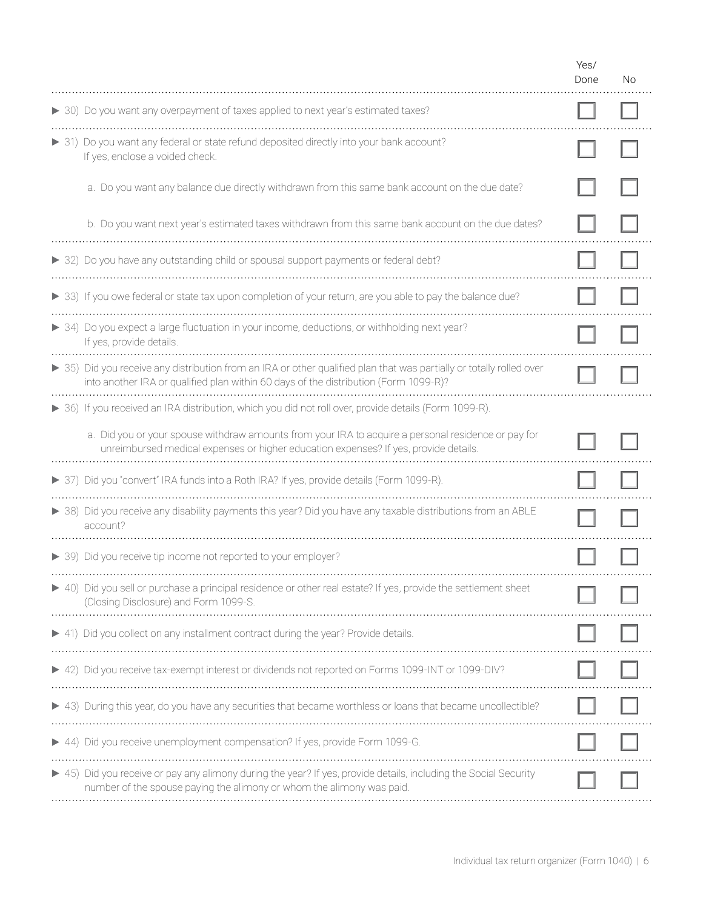|                                                                                                                                                                                                              | Yes/<br>Done | No. |
|--------------------------------------------------------------------------------------------------------------------------------------------------------------------------------------------------------------|--------------|-----|
| > 30) Do you want any overpayment of taxes applied to next year's estimated taxes?                                                                                                                           |              |     |
| > 31) Do you want any federal or state refund deposited directly into your bank account?<br>If yes, enclose a voided check.                                                                                  |              |     |
| a. Do you want any balance due directly withdrawn from this same bank account on the due date?                                                                                                               |              |     |
| b. Do you want next year's estimated taxes withdrawn from this same bank account on the due dates?                                                                                                           |              |     |
| > 32) Do you have any outstanding child or spousal support payments or federal debt?                                                                                                                         |              |     |
| > 33) If you owe federal or state tax upon completion of your return, are you able to pay the balance due?                                                                                                   |              |     |
| ▶ 34) Do you expect a large fluctuation in your income, deductions, or withholding next year?<br>If yes, provide details.                                                                                    |              |     |
| > 35) Did you receive any distribution from an IRA or other qualified plan that was partially or totally rolled over<br>into another IRA or qualified plan within 60 days of the distribution (Form 1099-R)? |              |     |
| ▶ 36) If you received an IRA distribution, which you did not roll over, provide details (Form 1099-R).                                                                                                       |              |     |
| a. Did you or your spouse withdraw amounts from your IRA to acquire a personal residence or pay for<br>unreimbursed medical expenses or higher education expenses? If yes, provide details.                  |              |     |
| > 37) Did you "convert" IRA funds into a Roth IRA? If yes, provide details (Form 1099-R).                                                                                                                    |              |     |
| > 38) Did you receive any disability payments this year? Did you have any taxable distributions from an ABLE<br>account?                                                                                     |              |     |
| ▶ 39) Did you receive tip income not reported to your employer?                                                                                                                                              |              |     |
| ▶ 40) Did you sell or purchase a principal residence or other real estate? If yes, provide the settlement sheet<br>(Closing Disclosure) and Form 1099-S.                                                     |              |     |
| ▶ 41) Did you collect on any installment contract during the year? Provide details.                                                                                                                          |              |     |
| ▶ 42) Did you receive tax-exempt interest or dividends not reported on Forms 1099-INT or 1099-DIV?                                                                                                           |              |     |
| > 43) During this year, do you have any securities that became worthless or loans that became uncollectible?                                                                                                 |              |     |
| 44) Did you receive unemployment compensation? If yes, provide Form 1099-G.                                                                                                                                  |              |     |
| ▶ 45) Did you receive or pay any alimony during the year? If yes, provide details, including the Social Security<br>number of the spouse paying the alimony or whom the alimony was paid.                    |              |     |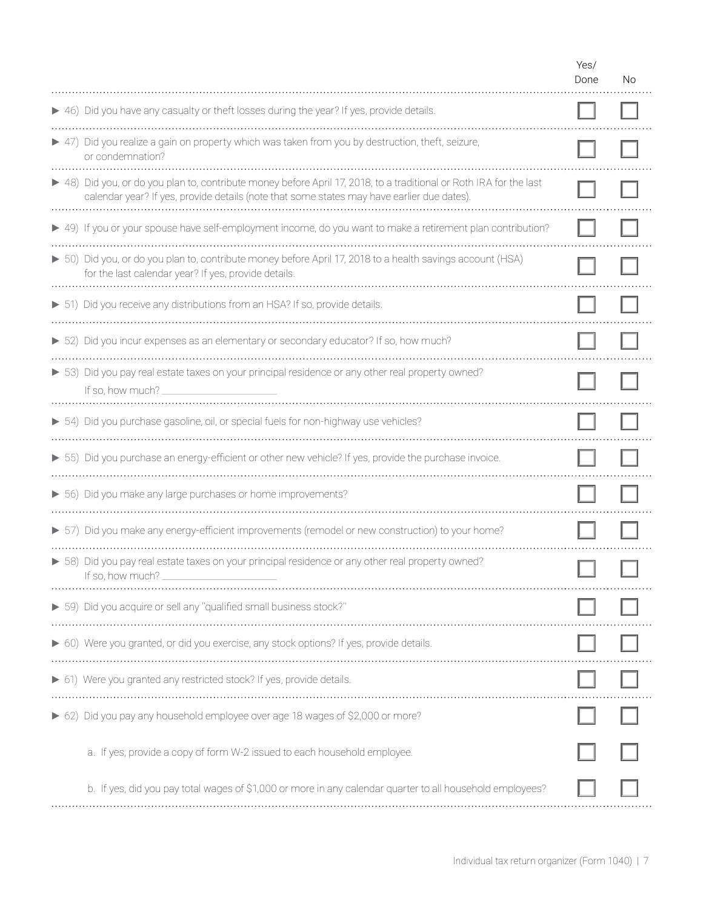|                                                                                                                                                                                                                   | Yes/<br>Done | No. |
|-------------------------------------------------------------------------------------------------------------------------------------------------------------------------------------------------------------------|--------------|-----|
| ▶ 46) Did you have any casualty or theft losses during the year? If yes, provide details.                                                                                                                         |              |     |
| > 47) Did you realize a gain on property which was taken from you by destruction, theft, seizure,<br>or condemnation?                                                                                             |              |     |
| ▶ 48) Did you, or do you plan to, contribute money before April 17, 2018, to a traditional or Roth IRA for the last<br>calendar year? If yes, provide details (note that some states may have earlier due dates). |              |     |
| ▶ 49) If you or your spouse have self-employment income, do you want to make a retirement plan contribution?                                                                                                      |              |     |
| ► 50) Did you, or do you plan to, contribute money before April 17, 2018 to a health savings account (HSA)<br>for the last calendar year? If yes, provide details.                                                |              |     |
| > 51) Did you receive any distributions from an HSA? If so, provide details.                                                                                                                                      |              |     |
| > 52) Did you incur expenses as an elementary or secondary educator? If so, how much?                                                                                                                             |              |     |
| > 53) Did you pay real estate taxes on your principal residence or any other real property owned?<br>If so, how much?                                                                                             |              |     |
| > 54) Did you purchase gasoline, oil, or special fuels for non-highway use vehicles?                                                                                                                              |              |     |
| > 55) Did you purchase an energy-efficient or other new vehicle? If yes, provide the purchase invoice.                                                                                                            |              |     |
| > 56) Did you make any large purchases or home improvements?                                                                                                                                                      |              |     |
| > 57) Did you make any energy-efficient improvements (remodel or new construction) to your home?                                                                                                                  |              |     |
| > 58) Did you pay real estate taxes on your principal residence or any other real property owned?<br>If so, how much?                                                                                             |              |     |
| > 59) Did you acquire or sell any "qualified small business stock?"                                                                                                                                               |              |     |
| ▶ 60) Were you granted, or did you exercise, any stock options? If yes, provide details.                                                                                                                          |              |     |
| ▶ 61) Were you granted any restricted stock? If yes, provide details.                                                                                                                                             |              |     |
| 62) Did you pay any household employee over age 18 wages of \$2,000 or more?                                                                                                                                      |              |     |
| a. If yes, provide a copy of form W-2 issued to each household employee.                                                                                                                                          |              |     |
| b. If yes, did you pay total wages of \$1,000 or more in any calendar quarter to all household employees?                                                                                                         |              |     |
|                                                                                                                                                                                                                   |              |     |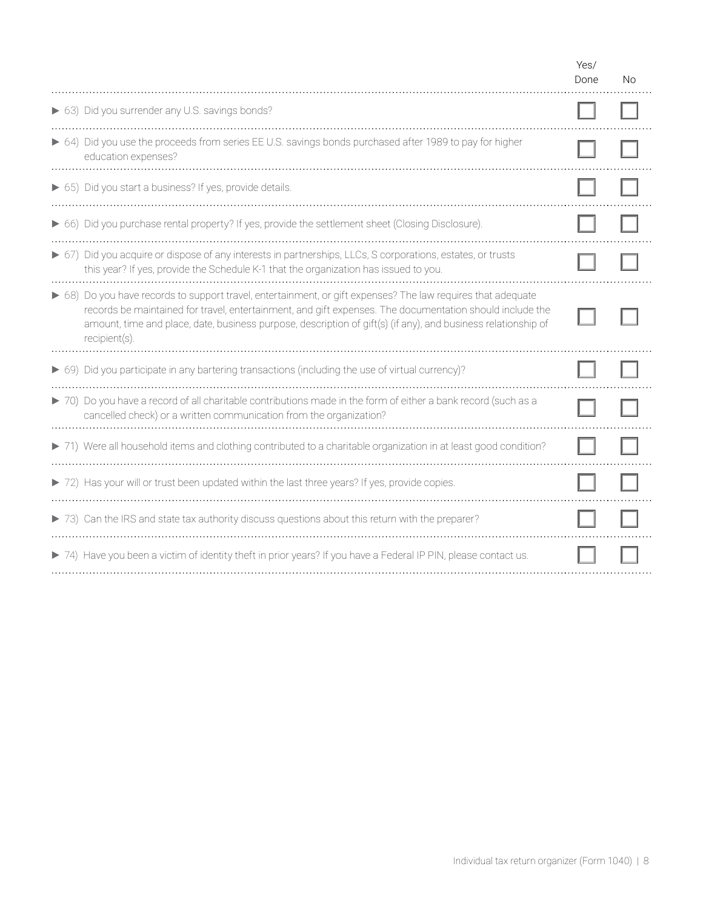|                                                                                                                                                                                                                                                                                                                                                            | Yes/<br>Done | No. |  |
|------------------------------------------------------------------------------------------------------------------------------------------------------------------------------------------------------------------------------------------------------------------------------------------------------------------------------------------------------------|--------------|-----|--|
| ▶ 63) Did you surrender any U.S. savings bonds?                                                                                                                                                                                                                                                                                                            |              |     |  |
| ▶ 64) Did you use the proceeds from series EE U.S. savings bonds purchased after 1989 to pay for higher<br>education expenses?                                                                                                                                                                                                                             |              |     |  |
| ▶ 65) Did you start a business? If yes, provide details.                                                                                                                                                                                                                                                                                                   |              |     |  |
| ▶ 66) Did you purchase rental property? If yes, provide the settlement sheet (Closing Disclosure).                                                                                                                                                                                                                                                         |              |     |  |
| ▶ 67) Did you acquire or dispose of any interests in partnerships, LLCs, S corporations, estates, or trusts<br>this year? If yes, provide the Schedule K-1 that the organization has issued to you.                                                                                                                                                        |              |     |  |
| ▶ 68) Do you have records to support travel, entertainment, or gift expenses? The law requires that adequate<br>records be maintained for travel, entertainment, and gift expenses. The documentation should include the<br>amount, time and place, date, business purpose, description of gift(s) (if any), and business relationship of<br>recipient(s). |              |     |  |
| ▶ 69) Did you participate in any bartering transactions (including the use of virtual currency)?                                                                                                                                                                                                                                                           |              |     |  |
| > 70) Do you have a record of all charitable contributions made in the form of either a bank record (such as a<br>cancelled check) or a written communication from the organization?                                                                                                                                                                       |              |     |  |
| > 71) Were all household items and clothing contributed to a charitable organization in at least good condition?                                                                                                                                                                                                                                           |              |     |  |
| > 72) Has your will or trust been updated within the last three years? If yes, provide copies.                                                                                                                                                                                                                                                             |              |     |  |
| > 73) Can the IRS and state tax authority discuss questions about this return with the preparer?                                                                                                                                                                                                                                                           |              |     |  |
| > 74) Have you been a victim of identity theft in prior years? If you have a Federal IP PIN, please contact us.                                                                                                                                                                                                                                            |              |     |  |
|                                                                                                                                                                                                                                                                                                                                                            |              |     |  |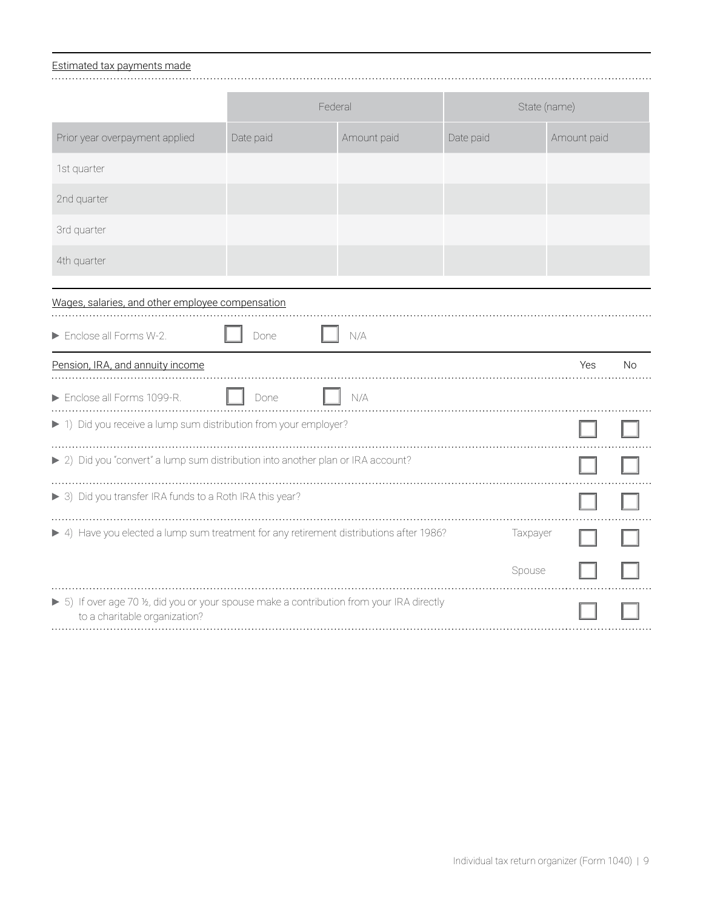#### Estimated tax payments made

|                                                                                                                             | Federal   |             |           | State (name) |    |
|-----------------------------------------------------------------------------------------------------------------------------|-----------|-------------|-----------|--------------|----|
| Prior year overpayment applied                                                                                              | Date paid | Amount paid | Date paid | Amount paid  |    |
| 1st quarter                                                                                                                 |           |             |           |              |    |
| 2nd quarter                                                                                                                 |           |             |           |              |    |
| 3rd quarter                                                                                                                 |           |             |           |              |    |
| 4th quarter                                                                                                                 |           |             |           |              |    |
| Wages, salaries, and other employee compensation                                                                            |           |             |           |              |    |
| Enclose all Forms W-2.                                                                                                      | Done      | N/A         |           |              |    |
| Pension, IRA, and annuity income                                                                                            |           |             |           | Yes          | No |
| Enclose all Forms 1099-R.                                                                                                   | Done      | N/A         |           |              |    |
| ▶ 1) Did you receive a lump sum distribution from your employer?                                                            |           |             |           |              |    |
| > 2) Did you "convert" a lump sum distribution into another plan or IRA account?                                            |           |             |           |              |    |
| > 3) Did you transfer IRA funds to a Roth IRA this year?                                                                    |           |             |           |              |    |
| > 4) Have you elected a lump sum treatment for any retirement distributions after 1986?                                     |           |             | Taxpayer  |              |    |
|                                                                                                                             |           |             | Spouse    |              |    |
| > 5) If over age 70 1/2, did you or your spouse make a contribution from your IRA directly<br>to a charitable organization? |           |             |           |              |    |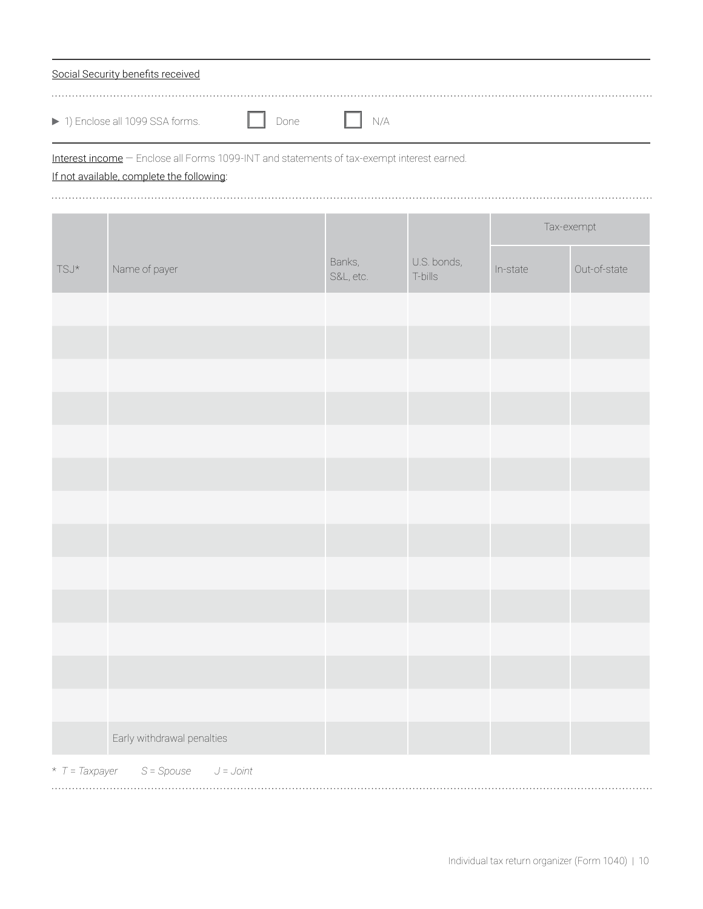| Social Security benefits received                                      |  |  |
|------------------------------------------------------------------------|--|--|
| 1) Enclose all 1099 SSA forms.<br>and the sound of the Done in the N/A |  |  |

Interest income — Enclose all Forms 1099-INT and statements of tax-exempt interest earned.

If not available, complete the following:

|                                        |                             |                     |                        |          | Tax-exempt   |
|----------------------------------------|-----------------------------|---------------------|------------------------|----------|--------------|
| $\mathsf{T}\mathsf{S}\mathsf{J}^\star$ | Name of payer               | Banks,<br>S&L, etc. | U.S. bonds,<br>T-bills | In-state | Out-of-state |
|                                        |                             |                     |                        |          |              |
|                                        |                             |                     |                        |          |              |
|                                        |                             |                     |                        |          |              |
|                                        |                             |                     |                        |          |              |
|                                        |                             |                     |                        |          |              |
|                                        |                             |                     |                        |          |              |
|                                        |                             |                     |                        |          |              |
|                                        |                             |                     |                        |          |              |
|                                        |                             |                     |                        |          |              |
|                                        |                             |                     |                        |          |              |
|                                        |                             |                     |                        |          |              |
|                                        |                             |                     |                        |          |              |
|                                        |                             |                     |                        |          |              |
|                                        | Early withdrawal penalties  |                     |                        |          |              |
| $*$ T = Taxpayer                       | $S = Spouse$<br>$J = Joint$ |                     |                        |          |              |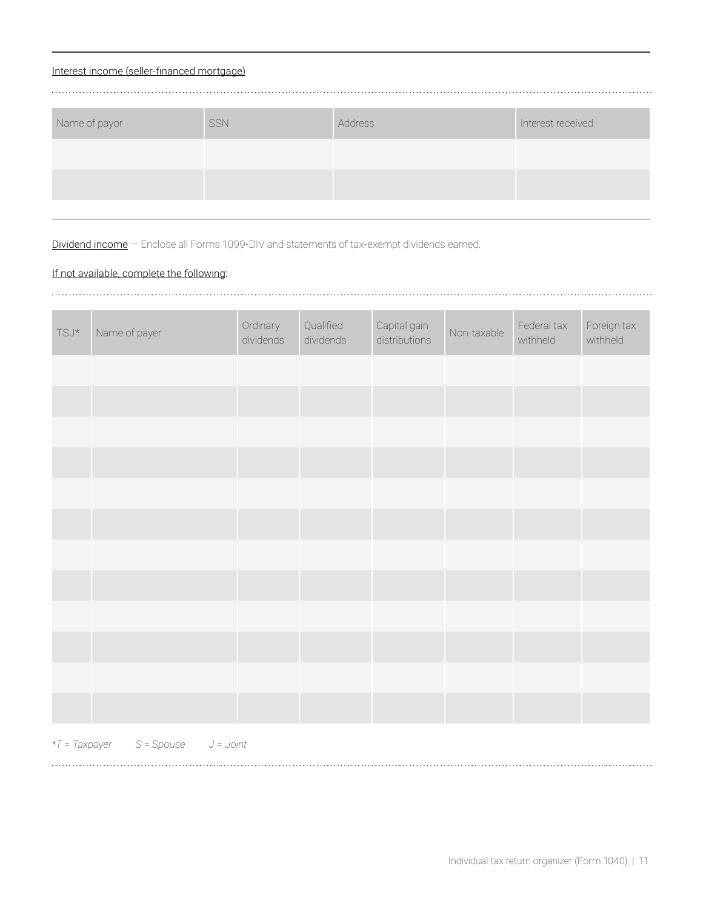### Interest income (seller-financed mortgage)

| Name of payor | SSN | Address | Interest received |
|---------------|-----|---------|-------------------|
|               |     |         |                   |
|               |     |         |                   |
|               |     |         |                   |

Dividend income - Enclose all Forms 1099-DIV and statements of tax-exempt dividends earned.

### If not available, complete the following:

| TSJ* | Name of payer | Ordinary<br>dividends | Qualified<br>dividends | Capital gain<br>distributions | Non-taxable | Federal tax<br>withheld | Foreign tax<br>withheld |
|------|---------------|-----------------------|------------------------|-------------------------------|-------------|-------------------------|-------------------------|
|      |               |                       |                        |                               |             |                         |                         |
|      |               |                       |                        |                               |             |                         |                         |
|      |               |                       |                        |                               |             |                         |                         |
|      |               |                       |                        |                               |             |                         |                         |
|      |               |                       |                        |                               |             |                         |                         |
|      |               |                       |                        |                               |             |                         |                         |
|      |               |                       |                        |                               |             |                         |                         |
|      |               |                       |                        |                               |             |                         |                         |
|      |               |                       |                        |                               |             |                         |                         |
|      |               |                       |                        |                               |             |                         |                         |
|      |               |                       |                        |                               |             |                         |                         |
|      |               |                       |                        |                               |             |                         |                         |

\**T* = *Taxpayer S* = *Spouse J* = *Joint*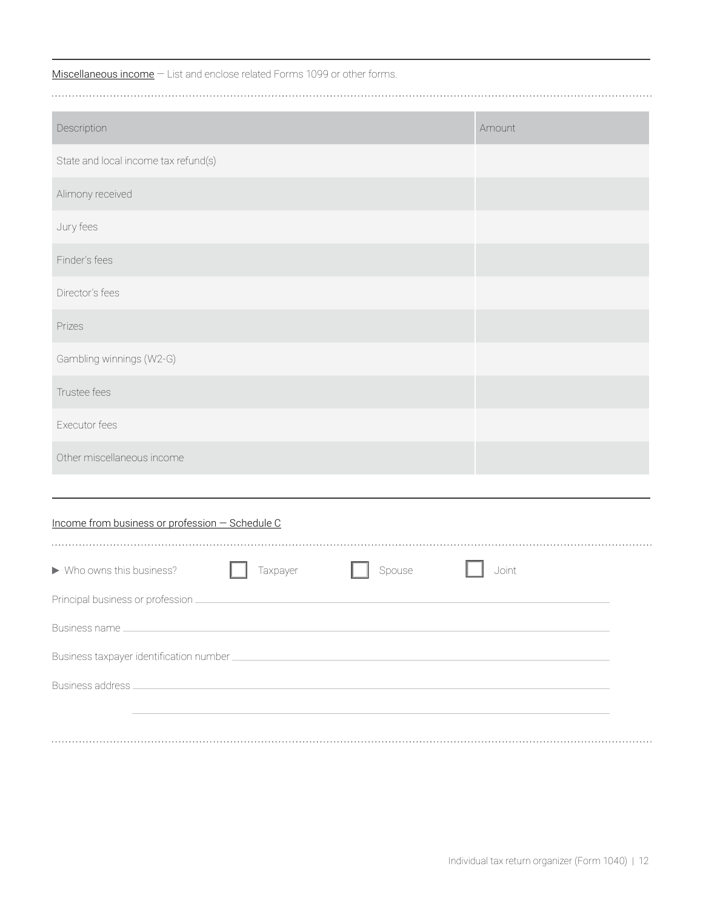Miscellaneous income - List and enclose related Forms 1099 or other forms.

| Description                                     | Amount |  |  |  |  |  |
|-------------------------------------------------|--------|--|--|--|--|--|
| State and local income tax refund(s)            |        |  |  |  |  |  |
| Alimony received                                |        |  |  |  |  |  |
| Jury fees                                       |        |  |  |  |  |  |
| Finder's fees                                   |        |  |  |  |  |  |
| Director's fees                                 |        |  |  |  |  |  |
| Prizes                                          |        |  |  |  |  |  |
| Gambling winnings (W2-G)                        |        |  |  |  |  |  |
| Trustee fees                                    |        |  |  |  |  |  |
| Executor fees                                   |        |  |  |  |  |  |
| Other miscellaneous income                      |        |  |  |  |  |  |
|                                                 |        |  |  |  |  |  |
| Income from business or profession - Schedule C |        |  |  |  |  |  |
|                                                 |        |  |  |  |  |  |
| Who owns this business?<br>Taxpayer<br>Spouse   | Joint  |  |  |  |  |  |
| Principal business or profession.               |        |  |  |  |  |  |
|                                                 |        |  |  |  |  |  |
|                                                 |        |  |  |  |  |  |
|                                                 |        |  |  |  |  |  |
|                                                 |        |  |  |  |  |  |
|                                                 |        |  |  |  |  |  |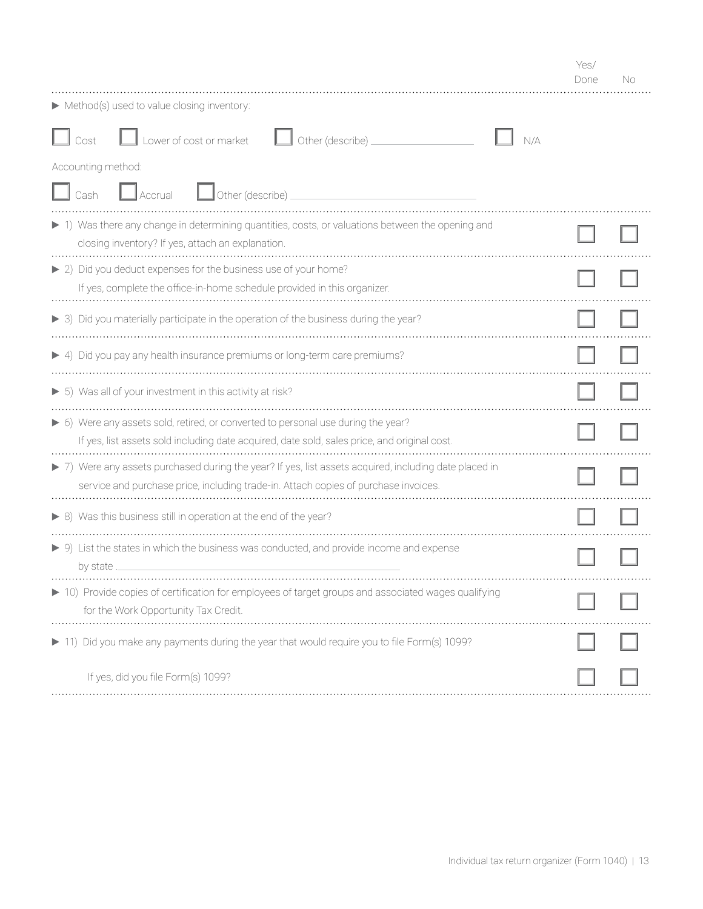|                                                                                                                                                                                               | Done | Nο |
|-----------------------------------------------------------------------------------------------------------------------------------------------------------------------------------------------|------|----|
| Method(s) used to value closing inventory:                                                                                                                                                    |      |    |
| Lower of cost or market<br>Other (describe) _<br>Cost                                                                                                                                         |      |    |
| Accounting method:                                                                                                                                                                            |      |    |
| Other (describe)<br>$\mathsf{J}$ Accrual<br>Cash                                                                                                                                              |      |    |
| ▶ 1) Was there any change in determining quantities, costs, or valuations between the opening and<br>closing inventory? If yes, attach an explanation.                                        |      |    |
| ▶ 2) Did you deduct expenses for the business use of your home?<br>If yes, complete the office-in-home schedule provided in this organizer.                                                   |      |    |
| $\triangleright$ 3) Did you materially participate in the operation of the business during the year?                                                                                          |      |    |
| ▶ 4) Did you pay any health insurance premiums or long-term care premiums?                                                                                                                    |      |    |
| $\triangleright$ 5) Was all of your investment in this activity at risk?                                                                                                                      |      |    |
| ▶ 6) Were any assets sold, retired, or converted to personal use during the year?<br>If yes, list assets sold including date acquired, date sold, sales price, and original cost.             |      |    |
| > 7) Were any assets purchased during the year? If yes, list assets acquired, including date placed in<br>service and purchase price, including trade-in. Attach copies of purchase invoices. |      |    |
| ▶ 8) Was this business still in operation at the end of the year?                                                                                                                             |      |    |
| $\triangleright$ 9) List the states in which the business was conducted, and provide income and expense<br>by state                                                                           |      |    |
| 10) Provide copies of certification for employees of target groups and associated wages qualifying<br>for the Work Opportunity Tax Credit.                                                    |      |    |
| Did you make any payments during the year that would require you to file Form(s) 1099?                                                                                                        |      |    |
| If yes, did you file Form(s) 1099?                                                                                                                                                            |      |    |

Yes/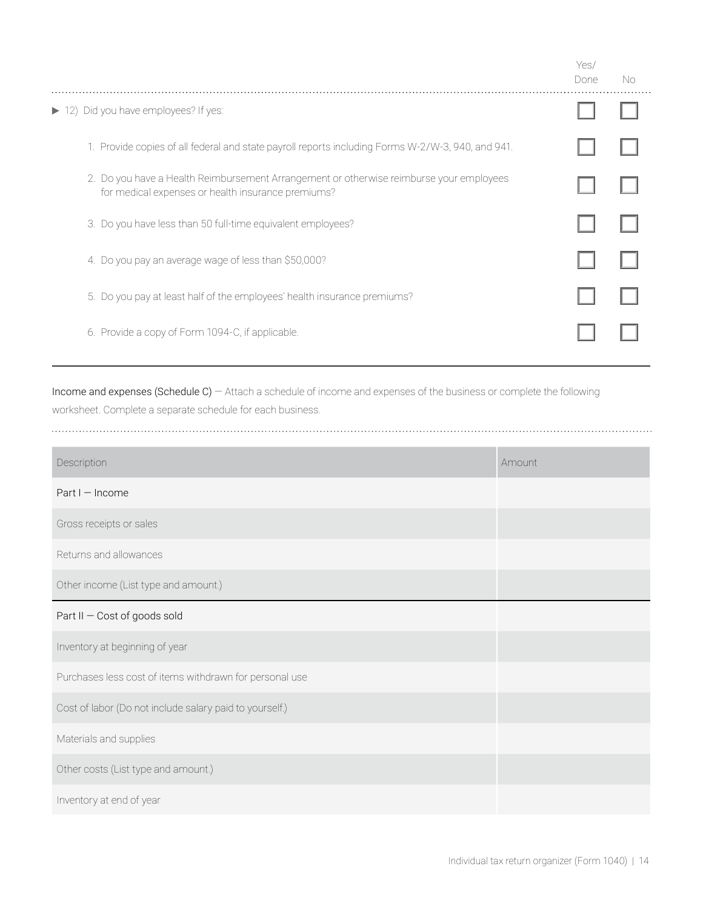|                                                                                                                                               | Yes/<br>Done | No. |
|-----------------------------------------------------------------------------------------------------------------------------------------------|--------------|-----|
| 12) Did you have employees? If yes:                                                                                                           |              |     |
| 1. Provide copies of all federal and state payroll reports including Forms W-2/W-3, 940, and 941.                                             |              |     |
| 2. Do you have a Health Reimbursement Arrangement or otherwise reimburse your employees<br>for medical expenses or health insurance premiums? |              |     |
| 3. Do you have less than 50 full-time equivalent employees?                                                                                   |              |     |
| 4. Do you pay an average wage of less than \$50,000?                                                                                          |              |     |
| 5. Do you pay at least half of the employees' health insurance premiums?                                                                      |              |     |
| 6. Provide a copy of Form 1094-C, if applicable.                                                                                              |              |     |

Income and expenses (Schedule C) — Attach a schedule of income and expenses of the business or complete the following worksheet. Complete a separate schedule for each business.

| Description                                             | Amount |
|---------------------------------------------------------|--------|
| Part I - Income                                         |        |
| Gross receipts or sales                                 |        |
| Returns and allowances                                  |        |
| Other income (List type and amount.)                    |        |
| Part II - Cost of goods sold                            |        |
| Inventory at beginning of year                          |        |
| Purchases less cost of items withdrawn for personal use |        |
| Cost of labor (Do not include salary paid to yourself.) |        |
| Materials and supplies                                  |        |
| Other costs (List type and amount.)                     |        |
| Inventory at end of year                                |        |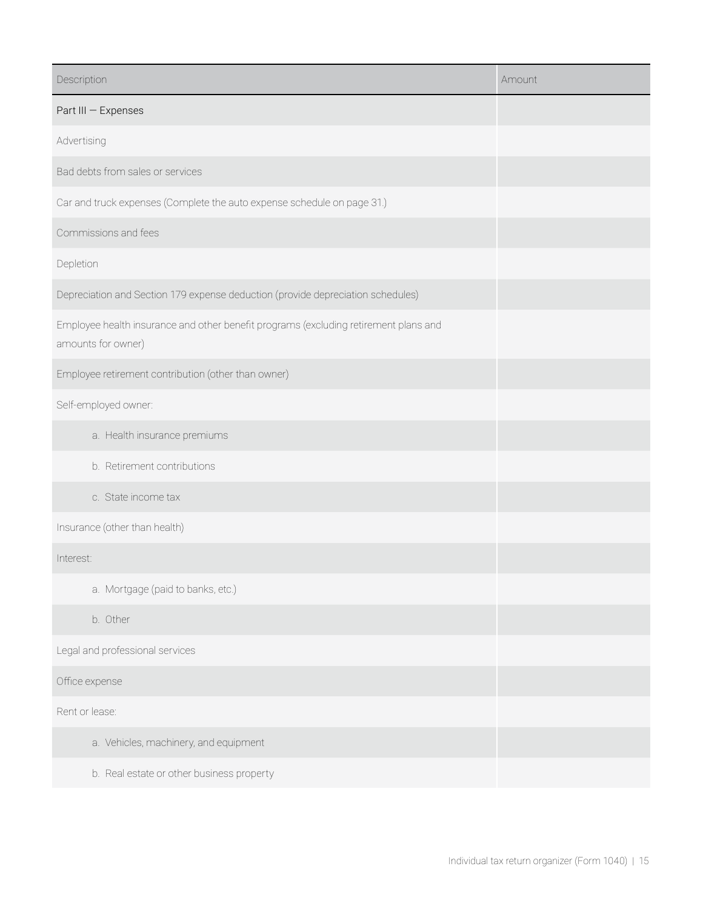| Description                                                                                                | Amount |
|------------------------------------------------------------------------------------------------------------|--------|
| Part III - Expenses                                                                                        |        |
| Advertising                                                                                                |        |
| Bad debts from sales or services                                                                           |        |
| Car and truck expenses (Complete the auto expense schedule on page 31.)                                    |        |
| Commissions and fees                                                                                       |        |
| Depletion                                                                                                  |        |
| Depreciation and Section 179 expense deduction (provide depreciation schedules)                            |        |
| Employee health insurance and other benefit programs (excluding retirement plans and<br>amounts for owner) |        |
| Employee retirement contribution (other than owner)                                                        |        |
| Self-employed owner:                                                                                       |        |
| a. Health insurance premiums                                                                               |        |
| b. Retirement contributions                                                                                |        |
| c. State income tax                                                                                        |        |
| Insurance (other than health)                                                                              |        |
| Interest:                                                                                                  |        |
| a. Mortgage (paid to banks, etc.)                                                                          |        |
| b. Other                                                                                                   |        |
| Legal and professional services                                                                            |        |
| Office expense                                                                                             |        |
| Rent or lease:                                                                                             |        |
| a. Vehicles, machinery, and equipment                                                                      |        |
| b. Real estate or other business property                                                                  |        |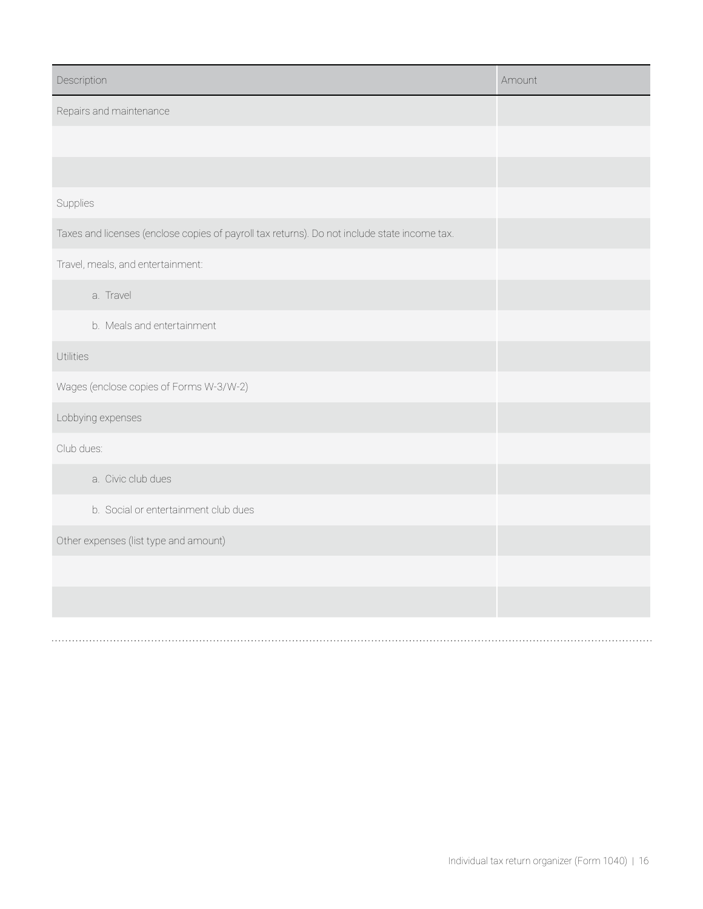| Description                                                                                  | Amount |
|----------------------------------------------------------------------------------------------|--------|
| Repairs and maintenance                                                                      |        |
|                                                                                              |        |
|                                                                                              |        |
| Supplies                                                                                     |        |
| Taxes and licenses (enclose copies of payroll tax returns). Do not include state income tax. |        |
| Travel, meals, and entertainment:                                                            |        |
| a. Travel                                                                                    |        |
| b. Meals and entertainment                                                                   |        |
| Utilities                                                                                    |        |
| Wages (enclose copies of Forms W-3/W-2)                                                      |        |
| Lobbying expenses                                                                            |        |
| Club dues:                                                                                   |        |
| a. Civic club dues                                                                           |        |
| b. Social or entertainment club dues                                                         |        |
| Other expenses (list type and amount)                                                        |        |
|                                                                                              |        |
|                                                                                              |        |
|                                                                                              |        |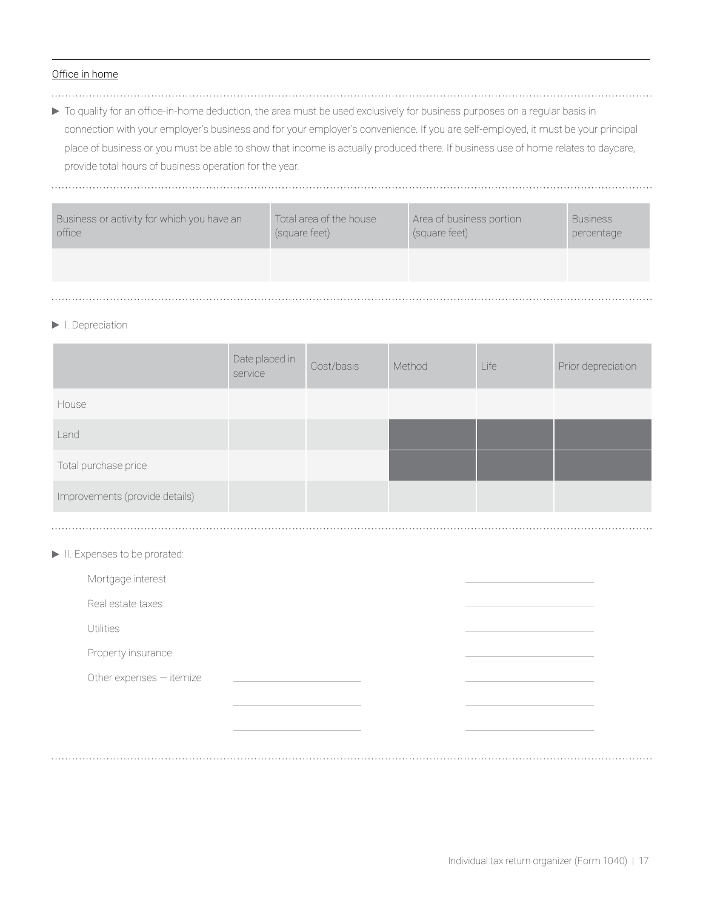#### Office in home

- 
- $\triangleright$  To qualify for an office-in-home deduction, the area must be used exclusively for business purposes on a regular basis in connection with your employer's business and for your employer's convenience. If you are self-employed, it must be your principal place of business or you must be able to show that income is actually produced there. If business use of home relates to daycare, provide total hours of business operation for the year.

| Business or activity for which you have an<br>office | Total area of the house<br>(square feet) | Area of business portion<br>(square feet) | <b>Business</b><br>percentage |
|------------------------------------------------------|------------------------------------------|-------------------------------------------|-------------------------------|
|                                                      |                                          |                                           |                               |
|                                                      |                                          |                                           |                               |

#### $\blacktriangleright$  I. Depreciation

|                                | Date placed in<br>service | Cost/basis | Method | Life | Prior depreciation |
|--------------------------------|---------------------------|------------|--------|------|--------------------|
| House                          |                           |            |        |      |                    |
| Land                           |                           |            |        |      |                    |
| Total purchase price           |                           |            |        |      |                    |
| Improvements (provide details) |                           |            |        |      |                    |

II. Expenses to be prorated:

| Mortgage interest        |  |  |
|--------------------------|--|--|
| Real estate taxes        |  |  |
| <b>Utilities</b>         |  |  |
| Property insurance       |  |  |
| Other expenses - itemize |  |  |
|                          |  |  |
|                          |  |  |
|                          |  |  |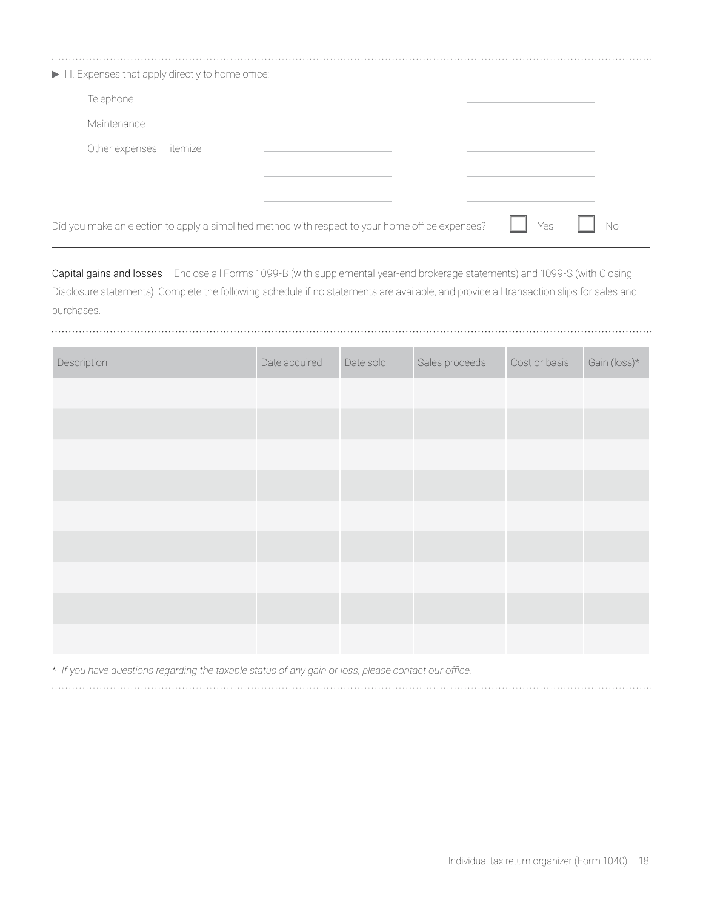| III. Expenses that apply directly to home office:                                                |           |  |
|--------------------------------------------------------------------------------------------------|-----------|--|
| Telephone                                                                                        |           |  |
| Maintenance                                                                                      |           |  |
| Other expenses $-$ itemize                                                                       |           |  |
|                                                                                                  |           |  |
|                                                                                                  |           |  |
| Did you make an election to apply a simplified method with respect to your home office expenses? | Yes<br>Nο |  |

Capital gains and losses – Enclose all Forms 1099-B (with supplemental year-end brokerage statements) and 1099-S (with Closing Disclosure statements). Complete the following schedule if no statements are available, and provide all transaction slips for sales and purchases.

| Description | Date acquired | Date sold | Sales proceeds | Cost or basis | Gain (loss)* |
|-------------|---------------|-----------|----------------|---------------|--------------|
|             |               |           |                |               |              |
|             |               |           |                |               |              |
|             |               |           |                |               |              |
|             |               |           |                |               |              |
|             |               |           |                |               |              |
|             |               |           |                |               |              |
|             |               |           |                |               |              |
|             |               |           |                |               |              |
|             |               |           |                |               |              |

\* *If you have questions regarding the taxable status of any gain or loss, please contact our office.*

. . . . . . . . .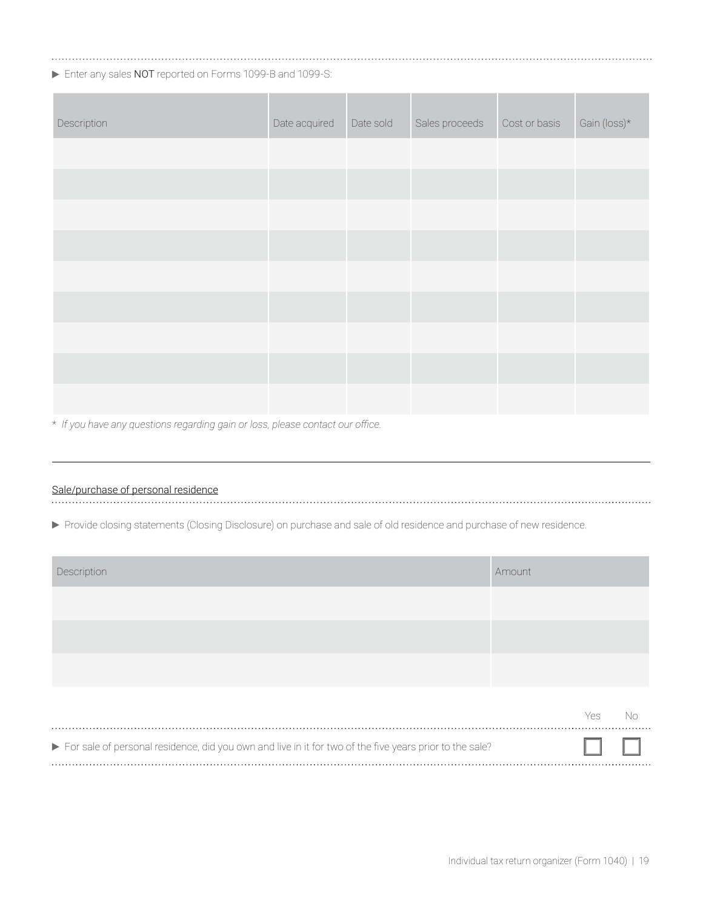Enter any sales NOT reported on Forms 1099-B and 1099-S:

| Description | Date acquired | Date sold | Sales proceeds | Cost or basis | Gain (loss)* |
|-------------|---------------|-----------|----------------|---------------|--------------|
|             |               |           |                |               |              |
|             |               |           |                |               |              |
|             |               |           |                |               |              |
|             |               |           |                |               |              |
|             |               |           |                |               |              |
|             |               |           |                |               |              |
|             |               |           |                |               |              |
|             |               |           |                |               |              |
|             |               |           |                |               |              |

\* *If you have any questions regarding gain or loss, please contact our office.*

# Sale/purchase of personal residence

Provide closing statements (Closing Disclosure) on purchase and sale of old residence and purchase of new residence.

| Description                                                                                             | Amount |     |    |
|---------------------------------------------------------------------------------------------------------|--------|-----|----|
|                                                                                                         |        |     |    |
|                                                                                                         |        |     |    |
|                                                                                                         |        |     |    |
|                                                                                                         |        | Yes | No |
| For sale of personal residence, did you own and live in it for two of the five years prior to the sale? |        |     |    |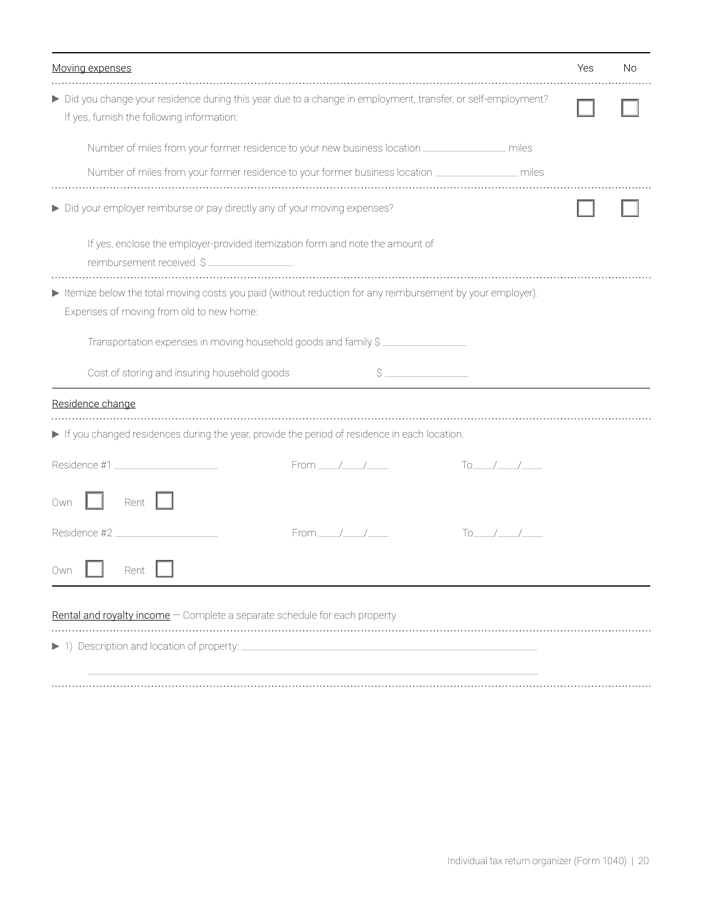| Moving expenses                                                                                                                                             | Yes | No |
|-------------------------------------------------------------------------------------------------------------------------------------------------------------|-----|----|
| > Did you change your residence during this year due to a change in employment, transfer, or self-employment?<br>If yes, furnish the following information: |     |    |
| Number of miles from your former residence to your new business location _________________ miles                                                            |     |    |
| Number of miles from your former residence to your former business location __________________ miles                                                        |     |    |
| Did your employer reimburse or pay directly any of your moving expenses?                                                                                    |     |    |
| If yes, enclose the employer-provided itemization form and note the amount of<br>reimbursement received. \$                                                 |     |    |
| Itemize below the total moving costs you paid (without reduction for any reimbursement by your employer).<br>Expenses of moving from old to new home:       |     |    |
| Transportation expenses in moving household goods and family \$                                                                                             |     |    |
| Cost of storing and insuring household goods                                                                                                                |     |    |
| Residence change                                                                                                                                            |     |    |
| If you changed residences during the year, provide the period of residence in each location.                                                                |     |    |
| Residence #1<br>From $\_\_\_\_\_\_\_\$<br>$To$ / /                                                                                                          |     |    |
| Rent<br>Own                                                                                                                                                 |     |    |
| Residence #2<br>From $/$ / $/$<br>$\begin{array}{ccc} \text{To} & / \end{array}$                                                                            |     |    |
| Rent<br>uwn                                                                                                                                                 |     |    |
| Rental and royalty income - Complete a separate schedule for each property.                                                                                 |     |    |
| 1) Description and location of property:                                                                                                                    |     |    |
|                                                                                                                                                             |     |    |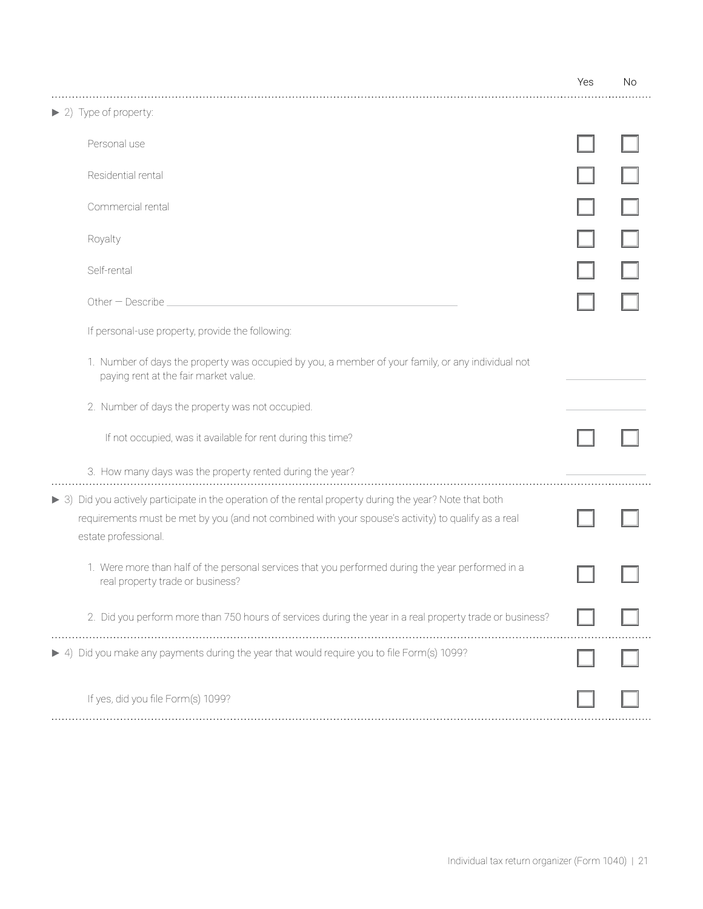|                                                                                                                                                                                                                                          | Yes | No |
|------------------------------------------------------------------------------------------------------------------------------------------------------------------------------------------------------------------------------------------|-----|----|
| $\blacktriangleright$ 2) Type of property:                                                                                                                                                                                               |     |    |
| Personal use                                                                                                                                                                                                                             |     |    |
| Residential rental                                                                                                                                                                                                                       |     |    |
| Commercial rental                                                                                                                                                                                                                        |     |    |
| Royalty                                                                                                                                                                                                                                  |     |    |
| Self-rental                                                                                                                                                                                                                              |     |    |
| Other - Describe                                                                                                                                                                                                                         |     |    |
| If personal-use property, provide the following:                                                                                                                                                                                         |     |    |
| 1. Number of days the property was occupied by you, a member of your family, or any individual not<br>paying rent at the fair market value.                                                                                              |     |    |
| 2. Number of days the property was not occupied.                                                                                                                                                                                         |     |    |
| If not occupied, was it available for rent during this time?                                                                                                                                                                             |     |    |
| 3. How many days was the property rented during the year?                                                                                                                                                                                |     |    |
| > 3) Did you actively participate in the operation of the rental property during the year? Note that both<br>requirements must be met by you (and not combined with your spouse's activity) to qualify as a real<br>estate professional. |     |    |
| 1. Were more than half of the personal services that you performed during the year performed in a<br>real property trade or business?                                                                                                    |     |    |
| 2. Did you perform more than 750 hours of services during the year in a real property trade or business?                                                                                                                                 |     |    |
| 4) Did you make any payments during the year that would require you to file Form(s) 1099?                                                                                                                                                |     |    |
| If yes, did you file Form(s) 1099?                                                                                                                                                                                                       |     |    |
|                                                                                                                                                                                                                                          |     |    |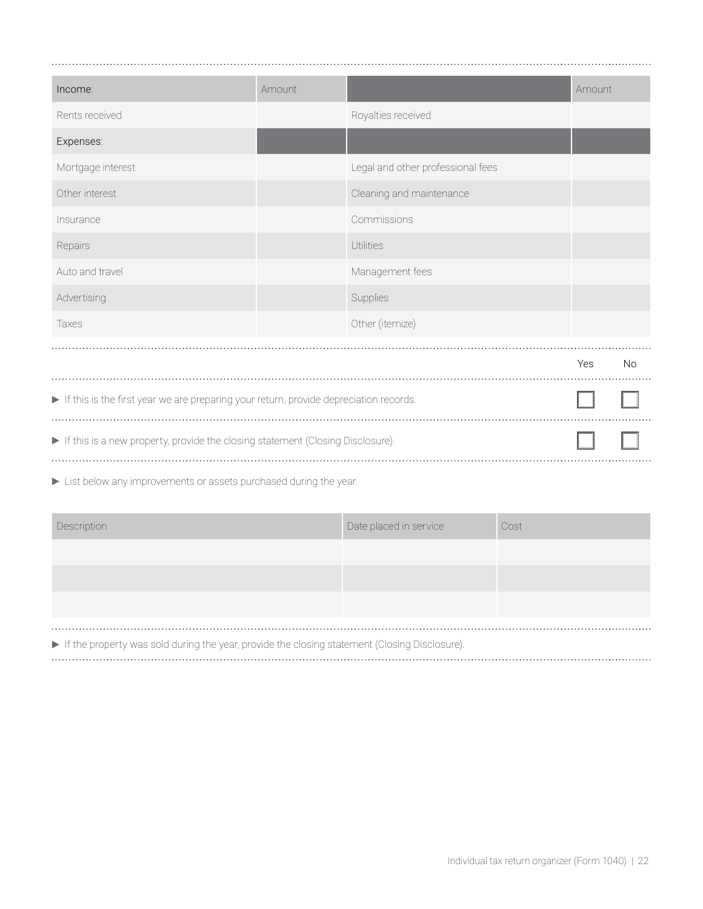| Income:                                                                               | Amount |                                   | Amount |           |
|---------------------------------------------------------------------------------------|--------|-----------------------------------|--------|-----------|
| Rents received                                                                        |        | Royalties received                |        |           |
| Expenses:                                                                             |        |                                   |        |           |
| Mortgage interest                                                                     |        | Legal and other professional fees |        |           |
| Other interest                                                                        |        | Cleaning and maintenance          |        |           |
| Insurance                                                                             |        | Commissions                       |        |           |
| Repairs                                                                               |        | <b>Utilities</b>                  |        |           |
| Auto and travel                                                                       |        | Management fees                   |        |           |
| Advertising                                                                           |        | Supplies                          |        |           |
| Taxes                                                                                 |        | Other (itemize)                   |        |           |
|                                                                                       |        |                                   | Yes    | <b>No</b> |
| If this is the first year we are preparing your return, provide depreciation records. |        |                                   |        |           |
| If this is a new property, provide the closing statement (Closing Disclosure).        |        |                                   |        |           |

List below any improvements or assets purchased during the year.

| Description                                                                                              | Date placed in service | Cost |
|----------------------------------------------------------------------------------------------------------|------------------------|------|
|                                                                                                          |                        |      |
|                                                                                                          |                        |      |
|                                                                                                          |                        |      |
|                                                                                                          |                        |      |
| A Hitle a proportion on a political device the special of the planter at the popular (Olagina Dioplanum) |                        |      |

If the property was sold during the year, provide the closing statement (Closing Disclosure).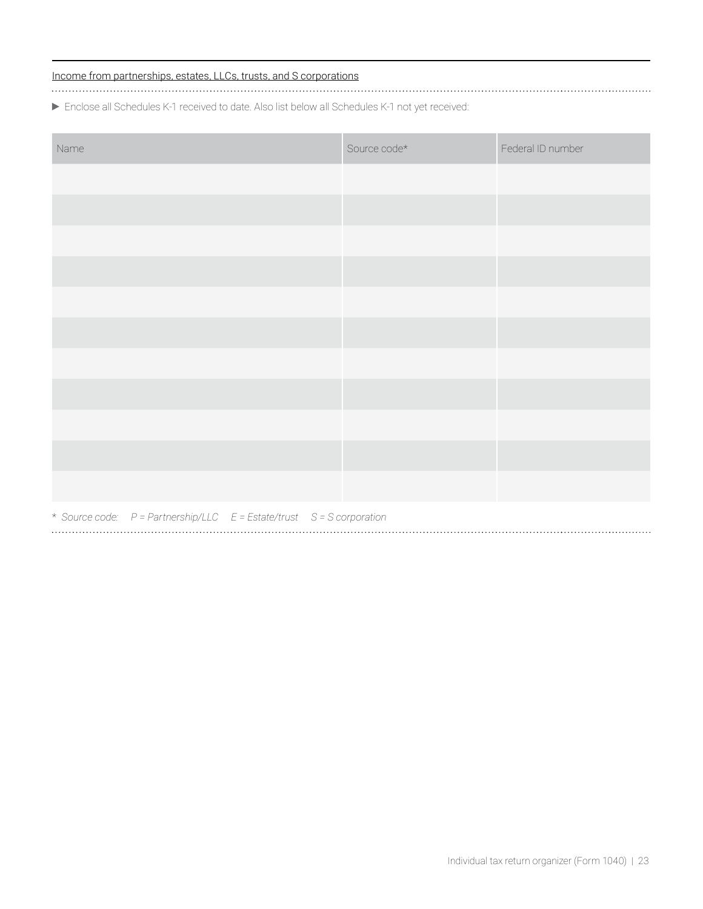### Income from partnerships, estates, LLCs, trusts, and S corporations

Enclose all Schedules K-1 received to date. Also list below all Schedules K-1 not yet received:

| Name |                                                                       |  | Source code* | Federal ID number |
|------|-----------------------------------------------------------------------|--|--------------|-------------------|
|      |                                                                       |  |              |                   |
|      |                                                                       |  |              |                   |
|      |                                                                       |  |              |                   |
|      |                                                                       |  |              |                   |
|      |                                                                       |  |              |                   |
|      |                                                                       |  |              |                   |
|      |                                                                       |  |              |                   |
|      |                                                                       |  |              |                   |
|      |                                                                       |  |              |                   |
|      |                                                                       |  |              |                   |
|      |                                                                       |  |              |                   |
|      | * Source code: P = Partnership/LLC E = Estate/trust S = S corporation |  |              |                   |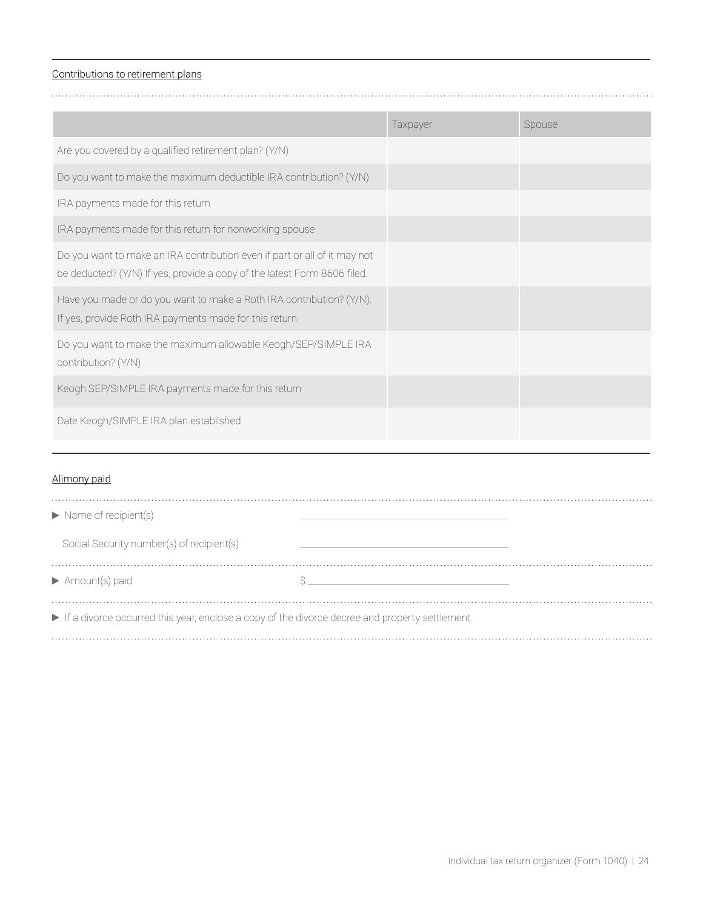#### Contributions to retirement plans

|                                                                                                                                                       | Taxpayer | Spouse |
|-------------------------------------------------------------------------------------------------------------------------------------------------------|----------|--------|
| Are you covered by a qualified retirement plan? (Y/N)                                                                                                 |          |        |
| Do you want to make the maximum deductible IRA contribution? (Y/N)                                                                                    |          |        |
| IRA payments made for this return                                                                                                                     |          |        |
| IRA payments made for this return for nonworking spouse                                                                                               |          |        |
| Do you want to make an IRA contribution even if part or all of it may not<br>be deducted? (Y/N) If yes, provide a copy of the latest Form 8606 filed. |          |        |
| Have you made or do you want to make a Roth IRA contribution? (Y/N).<br>If yes, provide Roth IRA payments made for this return.                       |          |        |
| Do you want to make the maximum allowable Keogh/SEP/SIMPLE IRA<br>contribution? (Y/N)                                                                 |          |        |
| Keogh SEP/SIMPLE IRA payments made for this return                                                                                                    |          |        |
| Date Keogh/SIMPLE IRA plan established                                                                                                                |          |        |

## Alimony paid

| $\blacktriangleright$ Name of recipient(s)                                                     |  |
|------------------------------------------------------------------------------------------------|--|
| Social Security number(s) of recipient(s)                                                      |  |
| $\blacktriangleright$ Amount(s) paid                                                           |  |
| If a divorce occurred this year, enclose a copy of the divorce decree and property settlement. |  |
|                                                                                                |  |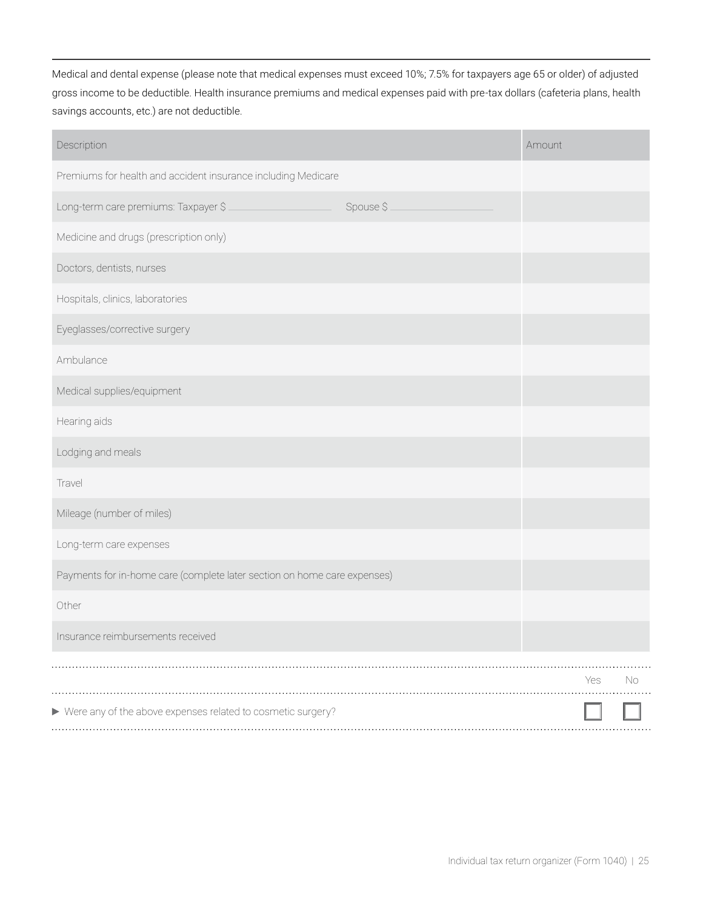Medical and dental expense (please note that medical expenses must exceed 10%; 7.5% for taxpayers age 65 or older) of adjusted gross income to be deductible. Health insurance premiums and medical expenses paid with pre-tax dollars (cafeteria plans, health savings accounts, etc.) are not deductible.

| Description                                                              |           | Amount    |  |
|--------------------------------------------------------------------------|-----------|-----------|--|
| Premiums for health and accident insurance including Medicare            |           |           |  |
| Long-term care premiums: Taxpayer \$                                     | Spouse \$ |           |  |
| Medicine and drugs (prescription only)                                   |           |           |  |
| Doctors, dentists, nurses                                                |           |           |  |
| Hospitals, clinics, laboratories                                         |           |           |  |
| Eyeglasses/corrective surgery                                            |           |           |  |
| Ambulance                                                                |           |           |  |
| Medical supplies/equipment                                               |           |           |  |
| Hearing aids                                                             |           |           |  |
| Lodging and meals                                                        |           |           |  |
| Travel                                                                   |           |           |  |
| Mileage (number of miles)                                                |           |           |  |
| Long-term care expenses                                                  |           |           |  |
| Payments for in-home care (complete later section on home care expenses) |           |           |  |
| Other                                                                    |           |           |  |
| Insurance reimbursements received                                        |           |           |  |
|                                                                          |           | Yes<br>No |  |
| ▶ Were any of the above expenses related to cosmetic surgery?            |           |           |  |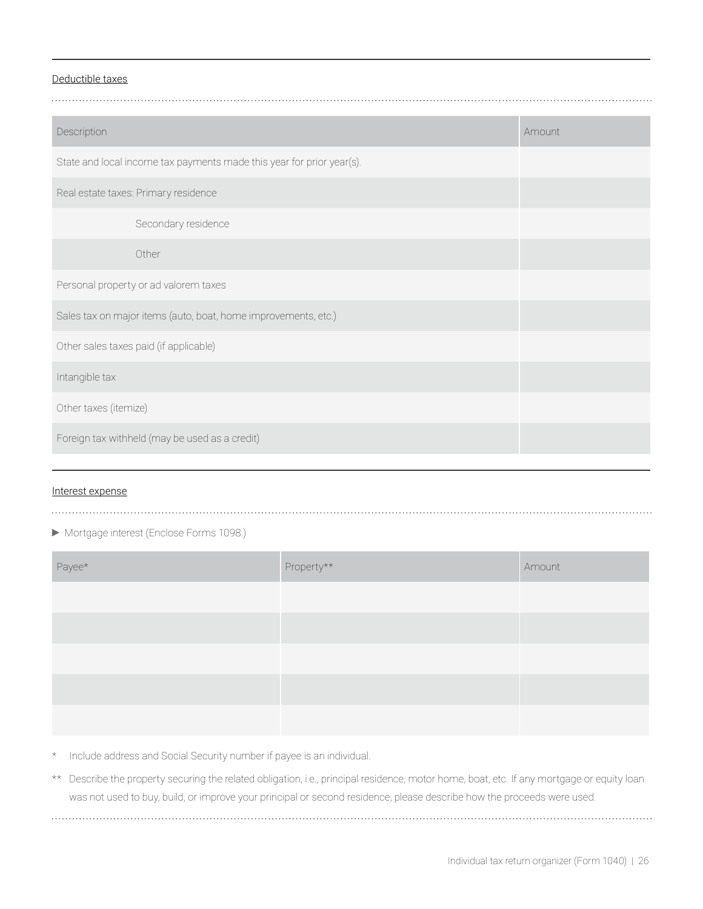#### Deductible taxes

| Description                                                           | Amount |
|-----------------------------------------------------------------------|--------|
| State and local income tax payments made this year for prior year(s). |        |
| Real estate taxes: Primary residence                                  |        |
| Secondary residence                                                   |        |
| Other                                                                 |        |
| Personal property or ad valorem taxes                                 |        |
| Sales tax on major items (auto, boat, home improvements, etc.)        |        |
| Other sales taxes paid (if applicable)                                |        |
| Intangible tax                                                        |        |
| Other taxes (itemize)                                                 |        |
| Foreign tax withheld (may be used as a credit)                        |        |
|                                                                       |        |

#### Interest expense

# 

#### Mortgage interest (Enclose Forms 1098.)

| Payee* | ${\sf Property}^{\star\star}$ | Amount |
|--------|-------------------------------|--------|
|        |                               |        |
|        |                               |        |
|        |                               |        |
|        |                               |        |
|        |                               |        |

\* Include address and Social Security number if payee is an individual.

\*\* Describe the property securing the related obligation, i.e., principal residence, motor home, boat, etc. If any mortgage or equity loan was not used to buy, build, or improve your principal or second residence, please describe how the proceeds were used.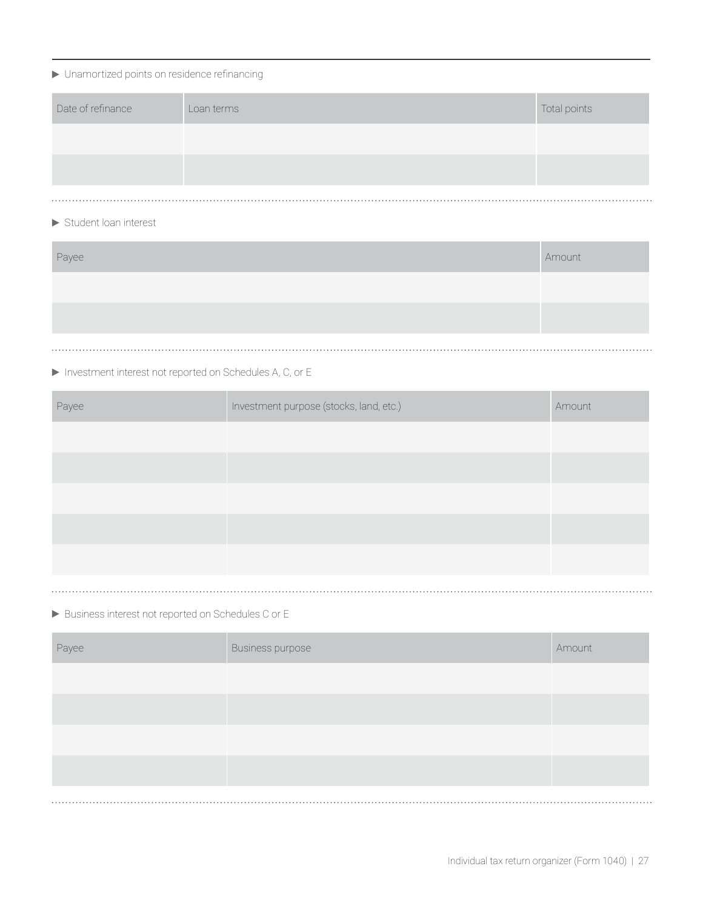# Unamortized points on residence refinancing

| Date of refinance | Loan terms | Total points |
|-------------------|------------|--------------|
|                   |            |              |
|                   |            |              |
|                   |            |              |

## Student loan interest

| Payee | Amount |
|-------|--------|
|       |        |
|       |        |
|       |        |

# Investment interest not reported on Schedules A, C, or E

| Payee | Investment purpose (stocks, land, etc.) | Amount |
|-------|-----------------------------------------|--------|
|       |                                         |        |
|       |                                         |        |
|       |                                         |        |
|       |                                         |        |
|       |                                         |        |
| .     |                                         |        |

Business interest not reported on Schedules C or E

| Payee | Business purpose | Amount |
|-------|------------------|--------|
|       |                  |        |
|       |                  |        |
|       |                  |        |
|       |                  |        |
|       |                  |        |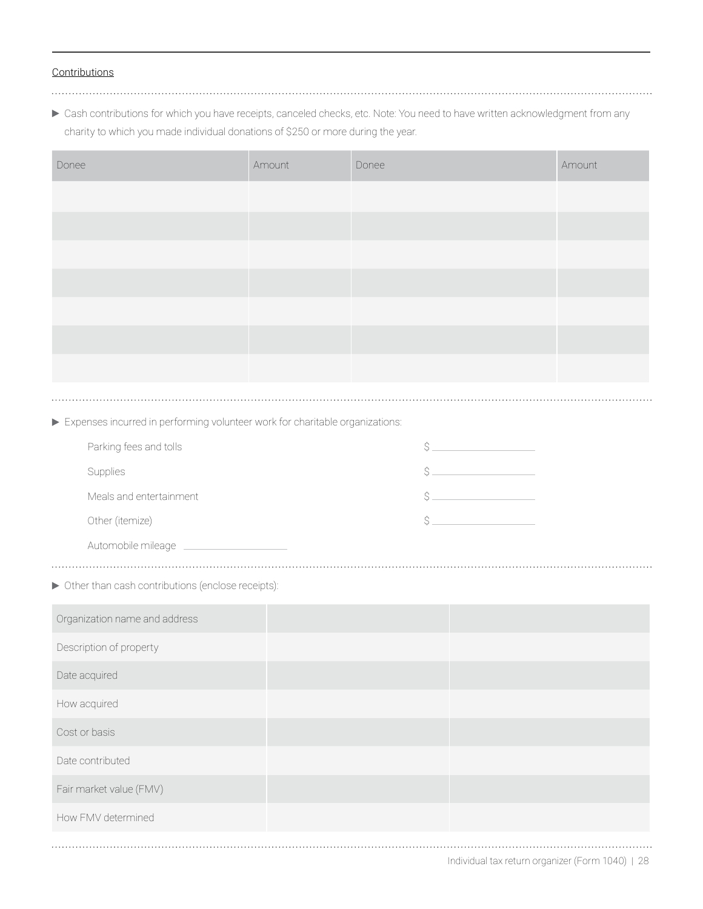#### **Contributions**

Cash contributions for which you have receipts, canceled checks, etc. Note: You need to have written acknowledgment from any charity to which you made individual donations of \$250 or more during the year.

| Donee                                                                        | Amount | Donee                                                                                                                                                                                                                                                                                                                                                                                                                                                                                      | Amount |
|------------------------------------------------------------------------------|--------|--------------------------------------------------------------------------------------------------------------------------------------------------------------------------------------------------------------------------------------------------------------------------------------------------------------------------------------------------------------------------------------------------------------------------------------------------------------------------------------------|--------|
|                                                                              |        |                                                                                                                                                                                                                                                                                                                                                                                                                                                                                            |        |
|                                                                              |        |                                                                                                                                                                                                                                                                                                                                                                                                                                                                                            |        |
|                                                                              |        |                                                                                                                                                                                                                                                                                                                                                                                                                                                                                            |        |
|                                                                              |        |                                                                                                                                                                                                                                                                                                                                                                                                                                                                                            |        |
|                                                                              |        |                                                                                                                                                                                                                                                                                                                                                                                                                                                                                            |        |
|                                                                              |        |                                                                                                                                                                                                                                                                                                                                                                                                                                                                                            |        |
|                                                                              |        |                                                                                                                                                                                                                                                                                                                                                                                                                                                                                            |        |
|                                                                              |        |                                                                                                                                                                                                                                                                                                                                                                                                                                                                                            |        |
| Expenses incurred in performing volunteer work for charitable organizations: |        |                                                                                                                                                                                                                                                                                                                                                                                                                                                                                            |        |
| Parking fees and tolls                                                       |        | $\begin{picture}(20,10) \put(0,0){\line(1,0){10}} \put(0,0){\line(1,0){10}} \put(0,0){\line(1,0){10}} \put(0,0){\line(1,0){10}} \put(0,0){\line(1,0){10}} \put(0,0){\line(1,0){10}} \put(0,0){\line(1,0){10}} \put(0,0){\line(1,0){10}} \put(0,0){\line(1,0){10}} \put(0,0){\line(1,0){10}} \put(0,0){\line(1,0){10}} \put(0,0){\line(1,0){10}} \put(0,$                                                                                                                                   |        |
| Supplies                                                                     |        | $\begin{array}{c} \n \uparrow \text{S} \quad \text{S} \quad \text{S} \quad \text{S} \quad \text{S} \quad \text{S} \quad \text{S} \quad \text{S} \quad \text{S} \quad \text{S} \quad \text{S} \quad \text{S} \quad \text{S} \quad \text{S} \quad \text{S} \quad \text{S} \quad \text{S} \quad \text{S} \quad \text{S} \quad \text{S} \quad \text{S} \quad \text{S} \quad \text{S} \quad \text{S} \quad \text{S} \quad \text{S} \quad \text{S} \quad \text{S} \quad \text{S} \quad \text{S}$ |        |
| Meals and entertainment                                                      |        | $\begin{picture}(20,10) \put(0,0){\line(1,0){10}} \put(15,0){\line(1,0){10}} \put(15,0){\line(1,0){10}} \put(15,0){\line(1,0){10}} \put(15,0){\line(1,0){10}} \put(15,0){\line(1,0){10}} \put(15,0){\line(1,0){10}} \put(15,0){\line(1,0){10}} \put(15,0){\line(1,0){10}} \put(15,0){\line(1,0){10}} \put(15,0){\line(1,0){10}} \put(15,0){\line(1$                                                                                                                                        |        |
| Other (itemize)                                                              |        | \$                                                                                                                                                                                                                                                                                                                                                                                                                                                                                         |        |
| Automobile mileage                                                           |        |                                                                                                                                                                                                                                                                                                                                                                                                                                                                                            |        |
| > Other than cash contributions (enclose receipts):                          |        |                                                                                                                                                                                                                                                                                                                                                                                                                                                                                            |        |
| Organization name and address                                                |        |                                                                                                                                                                                                                                                                                                                                                                                                                                                                                            |        |
| Description of property                                                      |        |                                                                                                                                                                                                                                                                                                                                                                                                                                                                                            |        |
| Date acquired                                                                |        |                                                                                                                                                                                                                                                                                                                                                                                                                                                                                            |        |
| How acquired                                                                 |        |                                                                                                                                                                                                                                                                                                                                                                                                                                                                                            |        |
| Cost or basis                                                                |        |                                                                                                                                                                                                                                                                                                                                                                                                                                                                                            |        |
| Date contributed                                                             |        |                                                                                                                                                                                                                                                                                                                                                                                                                                                                                            |        |
| Fair market value (FMV)                                                      |        |                                                                                                                                                                                                                                                                                                                                                                                                                                                                                            |        |
| How FMV determined                                                           |        |                                                                                                                                                                                                                                                                                                                                                                                                                                                                                            |        |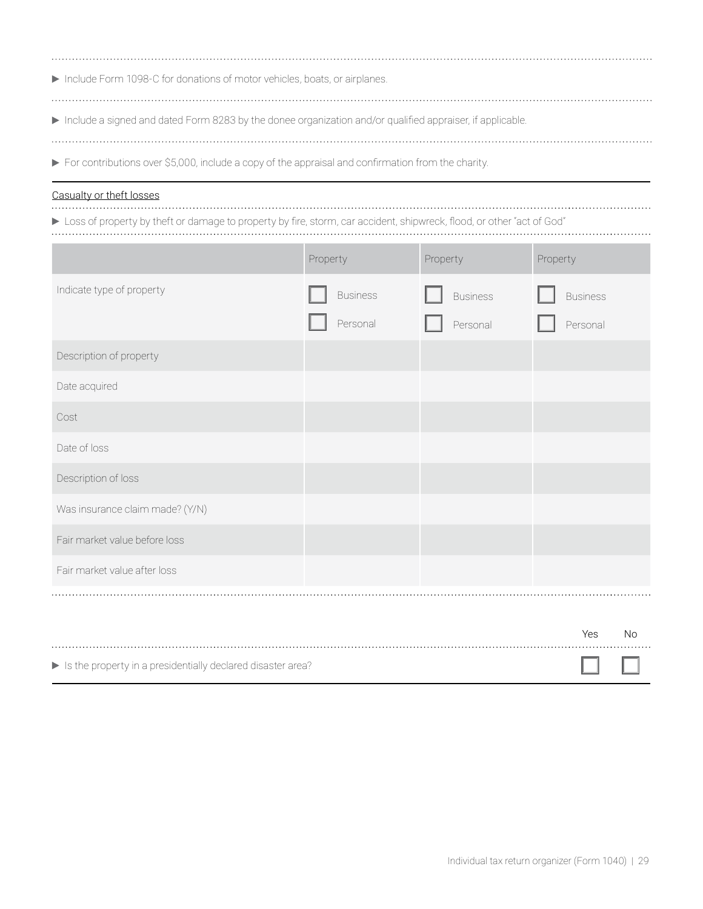| Include Form 1098-C for donations of motor vehicles, boats, or airplanes.                                 |
|-----------------------------------------------------------------------------------------------------------|
|                                                                                                           |
| Include a signed and dated Form 8283 by the donee organization and/or qualified appraiser, if applicable. |
|                                                                                                           |

For contributions over \$5,000, include a copy of the appraisal and confirmation from the charity.

Casualty or theft losses

Loss of property by theft or damage to property by fire, storm, car accident, shipwreck, flood, or other "act of God"

|                                 | Property |                 |                          | Property |                 |                      | Property |                 |    |
|---------------------------------|----------|-----------------|--------------------------|----------|-----------------|----------------------|----------|-----------------|----|
| Indicate type of property       |          | <b>Business</b> |                          |          | <b>Business</b> |                      |          | <b>Business</b> |    |
|                                 |          | Personal        |                          |          | Personal        |                      |          | Personal        |    |
| Description of property         |          |                 |                          |          |                 |                      |          |                 |    |
| Date acquired                   |          |                 |                          |          |                 |                      |          |                 |    |
| Cost                            |          |                 |                          |          |                 |                      |          |                 |    |
| Date of loss                    |          |                 |                          |          |                 |                      |          |                 |    |
| Description of loss             |          |                 |                          |          |                 |                      |          |                 |    |
| Was insurance claim made? (Y/N) |          |                 | $\overline{\phantom{a}}$ |          |                 | $\blacktriangledown$ |          |                 |    |
| Fair market value before loss   |          |                 |                          |          |                 |                      |          |                 |    |
| Fair market value after loss    |          |                 |                          |          |                 |                      |          |                 |    |
|                                 |          |                 |                          |          |                 |                      |          |                 |    |
|                                 |          |                 |                          |          |                 |                      |          | Yes             | No |

|                                                                                   | $\sim$ $\sim$ | . |
|-----------------------------------------------------------------------------------|---------------|---|
|                                                                                   |               |   |
|                                                                                   |               |   |
| $\blacktriangleright$ Is the property in a presidentially declared disaster area? |               |   |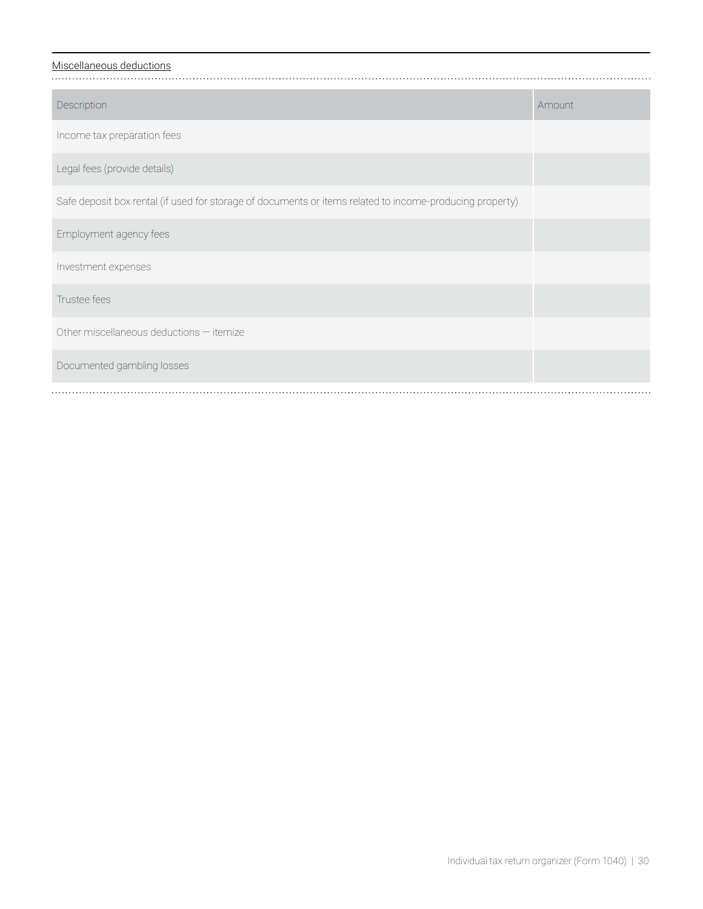# Miscellaneous deductions

| Description                                                                                              | Amount |
|----------------------------------------------------------------------------------------------------------|--------|
| Income tax preparation fees                                                                              |        |
| Legal fees (provide details)                                                                             |        |
| Safe deposit box rental (if used for storage of documents or items related to income-producing property) |        |
| Employment agency fees                                                                                   |        |
| Investment expenses                                                                                      |        |
| Trustee fees                                                                                             |        |
| Other miscellaneous deductions - itemize                                                                 |        |
| Documented gambling losses                                                                               |        |
|                                                                                                          |        |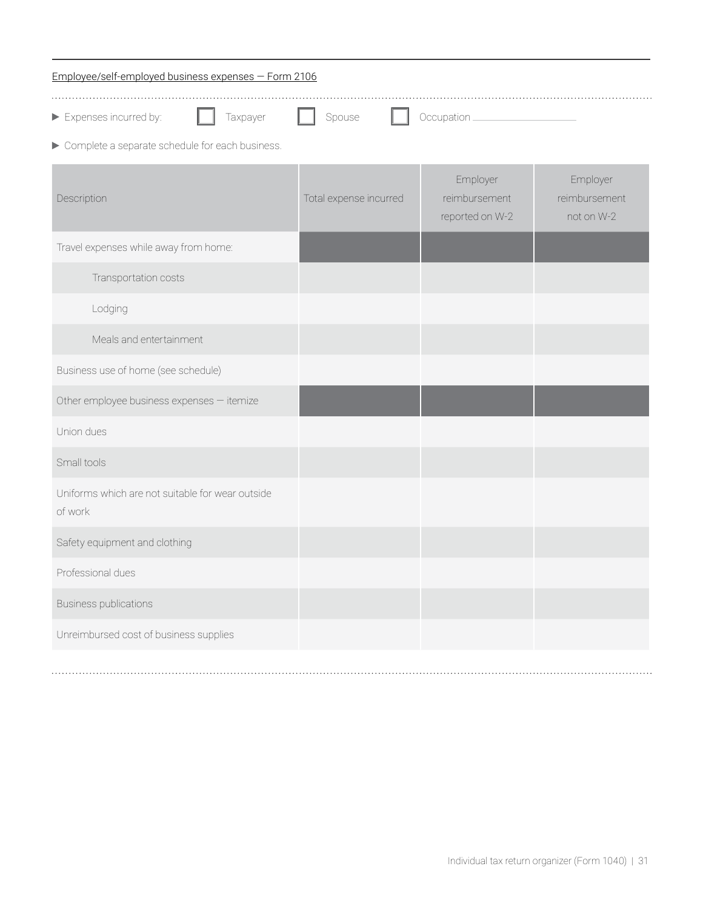| Employee/self-employed business expenses - Form 2106        |                        |                                              |                                         |  |  |
|-------------------------------------------------------------|------------------------|----------------------------------------------|-----------------------------------------|--|--|
| Expenses incurred by:<br>Taxpayer                           | Spouse                 | Occupation_                                  |                                         |  |  |
| ▶ Complete a separate schedule for each business.           |                        |                                              |                                         |  |  |
| Description                                                 | Total expense incurred | Employer<br>reimbursement<br>reported on W-2 | Employer<br>reimbursement<br>not on W-2 |  |  |
| Travel expenses while away from home:                       |                        |                                              |                                         |  |  |
| Transportation costs                                        |                        |                                              |                                         |  |  |
| Lodging                                                     |                        |                                              |                                         |  |  |
| Meals and entertainment                                     |                        |                                              |                                         |  |  |
| Business use of home (see schedule)                         |                        |                                              |                                         |  |  |
| Other employee business expenses - itemize                  |                        |                                              |                                         |  |  |
| Union dues                                                  |                        |                                              |                                         |  |  |
| Small tools                                                 |                        |                                              |                                         |  |  |
| Uniforms which are not suitable for wear outside<br>of work |                        |                                              |                                         |  |  |
| Safety equipment and clothing                               |                        |                                              |                                         |  |  |
| Professional dues                                           |                        |                                              |                                         |  |  |
| <b>Business publications</b>                                |                        |                                              |                                         |  |  |
| Unreimbursed cost of business supplies                      |                        |                                              |                                         |  |  |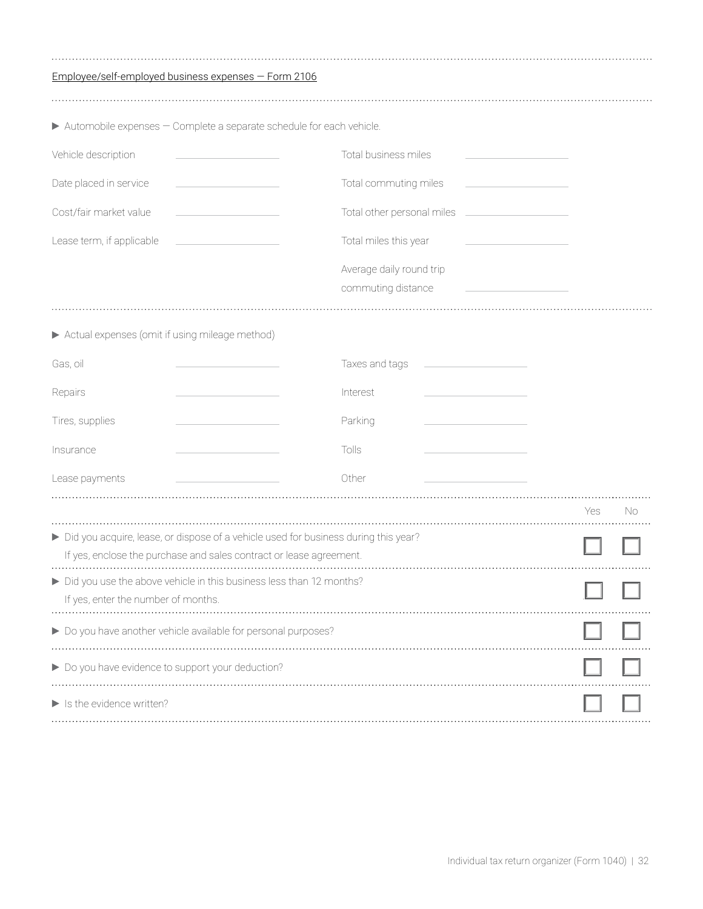| Employee/self-employed business expenses - Form 2106                                                                                                                                                   |                                                                                                                                                                                                       |
|--------------------------------------------------------------------------------------------------------------------------------------------------------------------------------------------------------|-------------------------------------------------------------------------------------------------------------------------------------------------------------------------------------------------------|
|                                                                                                                                                                                                        |                                                                                                                                                                                                       |
| Automobile expenses - Complete a separate schedule for each vehicle.                                                                                                                                   |                                                                                                                                                                                                       |
| Vehicle description                                                                                                                                                                                    | Total business miles                                                                                                                                                                                  |
| Date placed in service<br>$\mathcal{L}^{\mathcal{L}}(\mathcal{L}^{\mathcal{L}})$ and $\mathcal{L}^{\mathcal{L}}(\mathcal{L}^{\mathcal{L}})$ and $\mathcal{L}^{\mathcal{L}}(\mathcal{L}^{\mathcal{L}})$ | Total commuting miles<br>$\mathcal{L}^{\mathcal{L}}(\mathcal{L}^{\mathcal{L}})$ and $\mathcal{L}^{\mathcal{L}}(\mathcal{L}^{\mathcal{L}})$ and $\mathcal{L}^{\mathcal{L}}(\mathcal{L}^{\mathcal{L}})$ |
| Cost/fair market value<br><u> 1980 - Johann Barbara, martxa al</u>                                                                                                                                     | Total other personal miles ______________________                                                                                                                                                     |
| Lease term, if applicable                                                                                                                                                                              | Total miles this year                                                                                                                                                                                 |
|                                                                                                                                                                                                        | Average daily round trip<br>commuting distance                                                                                                                                                        |
| Actual expenses (omit if using mileage method)                                                                                                                                                         |                                                                                                                                                                                                       |
| Gas, oil                                                                                                                                                                                               | Taxes and tags<br><u> 1990 - John Stein, Amerikaansk politiker (</u>                                                                                                                                  |
| Repairs                                                                                                                                                                                                | Interest                                                                                                                                                                                              |
| Tires, supplies                                                                                                                                                                                        | Parking                                                                                                                                                                                               |
| Insurance                                                                                                                                                                                              | Tolls                                                                                                                                                                                                 |
| Lease payments                                                                                                                                                                                         | Other                                                                                                                                                                                                 |
|                                                                                                                                                                                                        | Yes<br>No                                                                                                                                                                                             |
| Did you acquire, lease, or dispose of a vehicle used for business during this year?<br>If yes, enclose the purchase and sales contract or lease agreement.                                             |                                                                                                                                                                                                       |
| Did you use the above vehicle in this business less than 12 months?<br>If yes, enter the number of months.                                                                                             |                                                                                                                                                                                                       |
| Do you have another vehicle available for personal purposes?                                                                                                                                           |                                                                                                                                                                                                       |
| Do you have evidence to support your deduction?                                                                                                                                                        |                                                                                                                                                                                                       |
| $\blacktriangleright$ Is the evidence written?                                                                                                                                                         |                                                                                                                                                                                                       |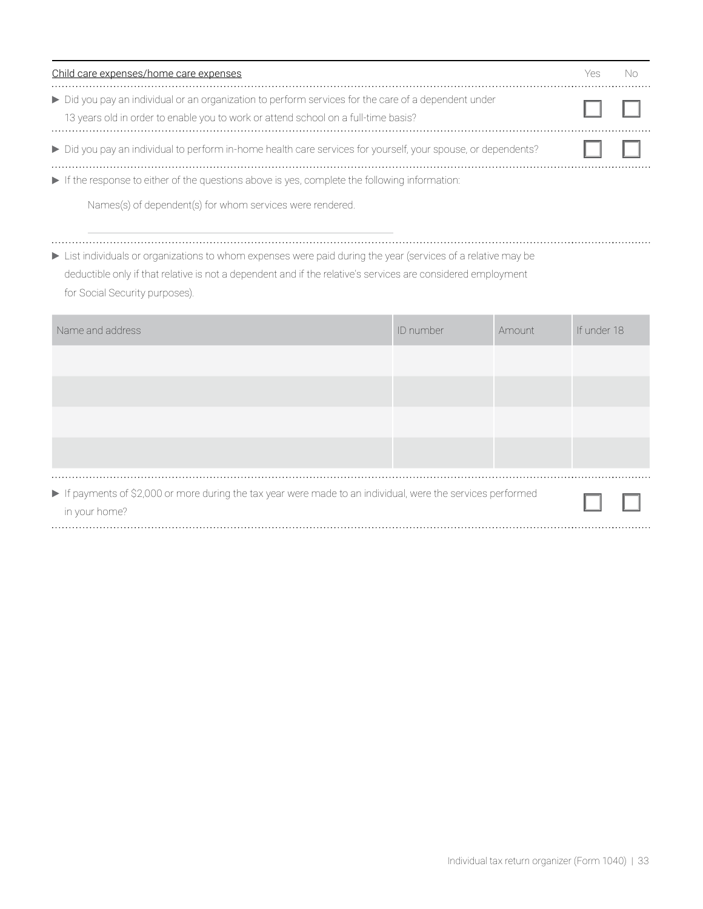| Child care expenses/home care expenses |                                                                                                                                                                                          |  |
|----------------------------------------|------------------------------------------------------------------------------------------------------------------------------------------------------------------------------------------|--|
|                                        | Did you pay an individual or an organization to perform services for the care of a dependent under<br>13 years old in order to enable you to work or attend school on a full-time basis? |  |
|                                        | Did you pay an individual to perform in-home health care services for yourself, your spouse, or dependents?                                                                              |  |
|                                        | If the response to either of the questions above is yes, complete the following information:                                                                                             |  |

Names(s) of dependent(s) for whom services were rendered.

List individuals or organizations to whom expenses were paid during the year (services of a relative may be

deductible only if that relative is not a dependent and if the relative's services are considered employment for Social Security purposes).

| Name and address                                                                                                            | ID number | Amount | If under 18 |  |
|-----------------------------------------------------------------------------------------------------------------------------|-----------|--------|-------------|--|
|                                                                                                                             |           |        |             |  |
|                                                                                                                             |           |        |             |  |
|                                                                                                                             |           |        |             |  |
|                                                                                                                             |           |        |             |  |
| If payments of \$2,000 or more during the tax year were made to an individual, were the services performed<br>in your home? |           |        |             |  |